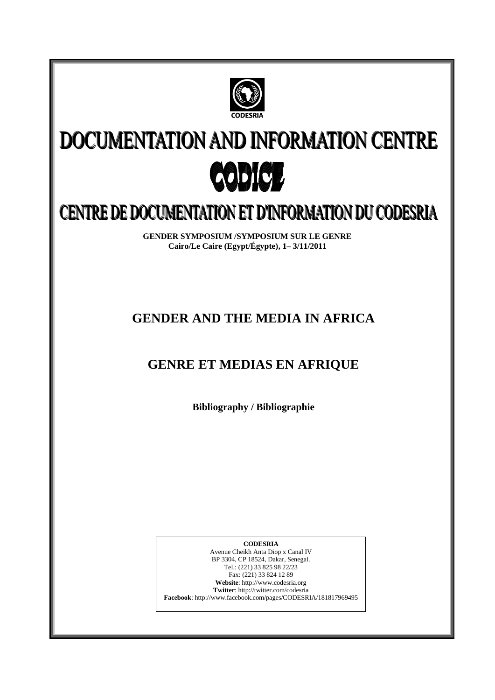

**Twitter**: http://twitter.com/codesria **Facebook**: http://www.facebook.com/pages/CODESRIA/181817969495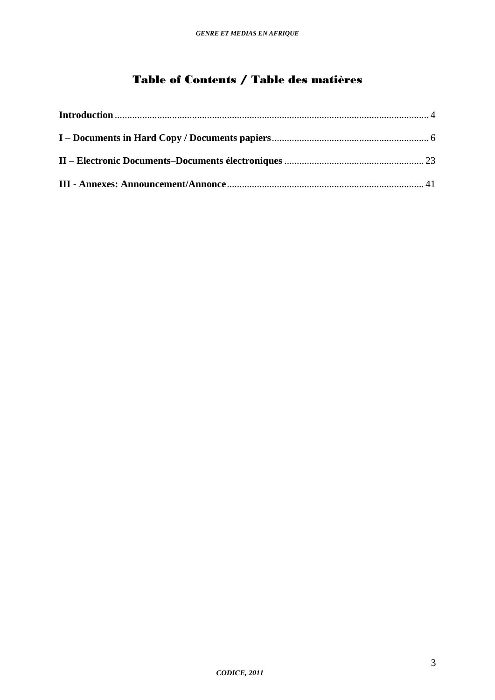## Table of Contents / Table des matières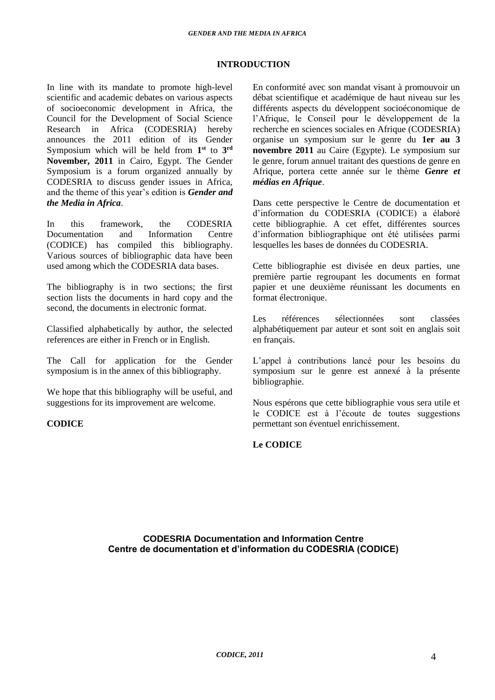#### **INTRODUCTION**

<span id="page-2-0"></span>In line with its mandate to promote high-level scientific and academic debates on various aspects of socioeconomic development in Africa, the Council for the Development of Social Science Research in Africa (CODESRIA) hereby announces the 2011 edition of its Gender Symposium which will be held from **1 st** to **3 rd November, 2011** in Cairo, Egypt. The Gender Symposium is a forum organized annually by CODESRIA to discuss gender issues in Africa, and the theme of this year's edition is *Gender and the Media in Africa*.

In this framework, the CODESRIA Documentation and Information Centre (CODICE) has compiled this bibliography. Various sources of bibliographic data have been used among which the CODESRIA data bases.

The bibliography is in two sections; the first section lists the documents in hard copy and the second, the documents in electronic format.

Classified alphabetically by author, the selected references are either in French or in English.

The Call for application for the Gender symposium is in the annex of this bibliography.

We hope that this bibliography will be useful, and suggestions for its improvement are welcome.

#### **CODICE**

En conformité avec son mandat visant à promouvoir un débat scientifique et académique de haut niveau sur les différents aspects du développent socioéconomique de l'Afrique, le Conseil pour le développement de la recherche en sciences sociales en Afrique (CODESRIA) organise un symposium sur le genre du **1er au 3 novembre 2011** au Caire (Egypte). Le symposium sur le genre, forum annuel traitant des questions de genre en Afrique, portera cette année sur le thème *Genre et médias en Afrique*.

Dans cette perspective le Centre de documentation et d'information du CODESRIA (CODICE) a élaboré cette bibliographie. A cet effet, différentes sources d'information bibliographique ont été utilisées parmi lesquelles les bases de données du CODESRIA.

Cette bibliographie est divisée en deux parties, une première partie regroupant les documents en format papier et une deuxième réunissant les documents en format électronique.

Les références sélectionnées sont classées alphabétiquement par auteur et sont soit en anglais soit en français.

L'appel à contributions lancé pour les besoins du symposium sur le genre est annexé à la présente bibliographie.

Nous espérons que cette bibliographie vous sera utile et le CODICE est à l'écoute de toutes suggestions permettant son éventuel enrichissement.

#### **Le CODICE**

**CODESRIA Documentation and Information Centre Centre de documentation et d'information du CODESRIA (CODICE)**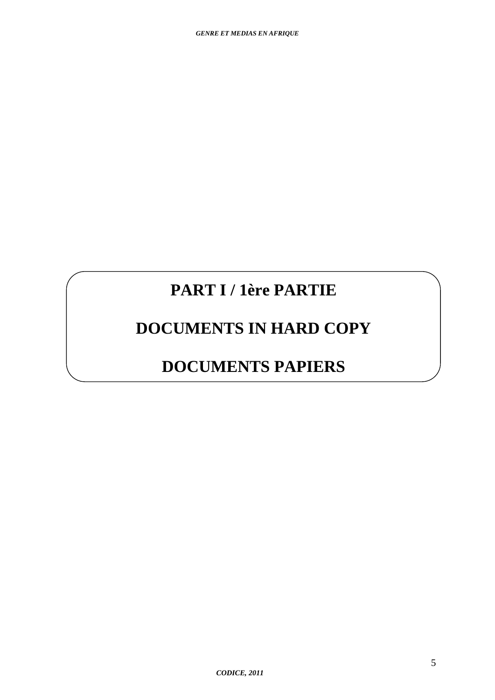# **PART I / 1ère PARTIE**

# **DOCUMENTS IN HARD COPY**

# **DOCUMENTS PAPIERS**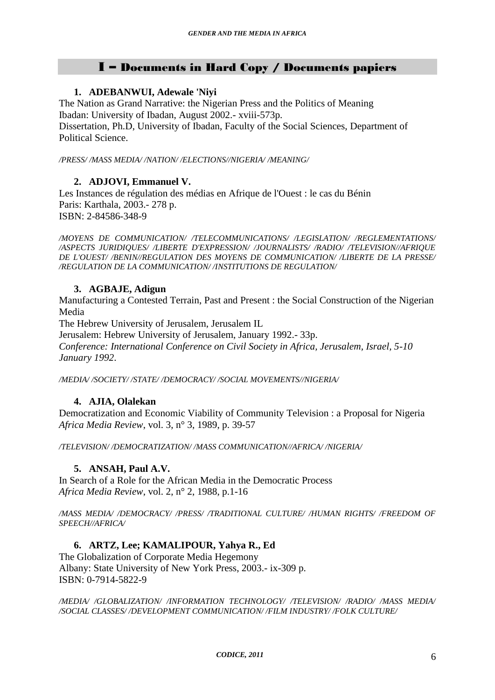## I – Documents in Hard Copy / Documents papiers

## <span id="page-4-0"></span>**1. ADEBANWUI, Adewale 'Niyi**

The Nation as Grand Narrative: the Nigerian Press and the Politics of Meaning Ibadan: University of Ibadan, August 2002.- xviii-573p.

Dissertation, Ph.D, University of Ibadan, Faculty of the Social Sciences, Department of Political Science.

*/PRESS/ /MASS MEDIA/ /NATION/ /ELECTIONS//NIGERIA/ /MEANING/*

### **2. ADJOVI, Emmanuel V.**

Les Instances de régulation des médias en Afrique de l'Ouest : le cas du Bénin Paris: Karthala, 2003.- 278 p. ISBN: 2-84586-348-9

*/MOYENS DE COMMUNICATION/ /TELECOMMUNICATIONS/ /LEGISLATION/ /REGLEMENTATIONS/ /ASPECTS JURIDIQUES/ /LIBERTE D'EXPRESSION/ /JOURNALISTS/ /RADIO/ /TELEVISION//AFRIQUE DE L'OUEST/ /BENIN//REGULATION DES MOYENS DE COMMUNICATION/ /LIBERTE DE LA PRESSE/ /REGULATION DE LA COMMUNICATION/ /INSTITUTIONS DE REGULATION/*

### **3. AGBAJE, Adigun**

Manufacturing a Contested Terrain, Past and Present : the Social Construction of the Nigerian Media

The Hebrew University of Jerusalem, Jerusalem IL

Jerusalem: Hebrew University of Jerusalem, January 1992.- 33p. *Conference: International Conference on Civil Society in Africa, Jerusalem, Israel, 5-10 January 1992*.

*/MEDIA/ /SOCIETY/ /STATE/ /DEMOCRACY/ /SOCIAL MOVEMENTS//NIGERIA/*

## **4. AJIA, Olalekan**

Democratization and Economic Viability of Community Television : a Proposal for Nigeria *Africa Media Review*, vol. 3, n° 3, 1989, p. 39-57

*/TELEVISION/ /DEMOCRATIZATION/ /MASS COMMUNICATION//AFRICA/ /NIGERIA/*

## **5. ANSAH, Paul A.V.**

In Search of a Role for the African Media in the Democratic Process *Africa Media Review*, vol. 2, n° 2, 1988, p.1-16

*/MASS MEDIA/ /DEMOCRACY/ /PRESS/ /TRADITIONAL CULTURE/ /HUMAN RIGHTS/ /FREEDOM OF SPEECH//AFRICA/*

#### **6. ARTZ, Lee; KAMALIPOUR, Yahya R., Ed** The Globalization of Corporate Media Hegemony Albany: State University of New York Press, 2003.- ix-309 p.

ISBN: 0-7914-5822-9

*/MEDIA/ /GLOBALIZATION/ /INFORMATION TECHNOLOGY/ /TELEVISION/ /RADIO/ /MASS MEDIA/ /SOCIAL CLASSES/ /DEVELOPMENT COMMUNICATION/ /FILM INDUSTRY/ /FOLK CULTURE/*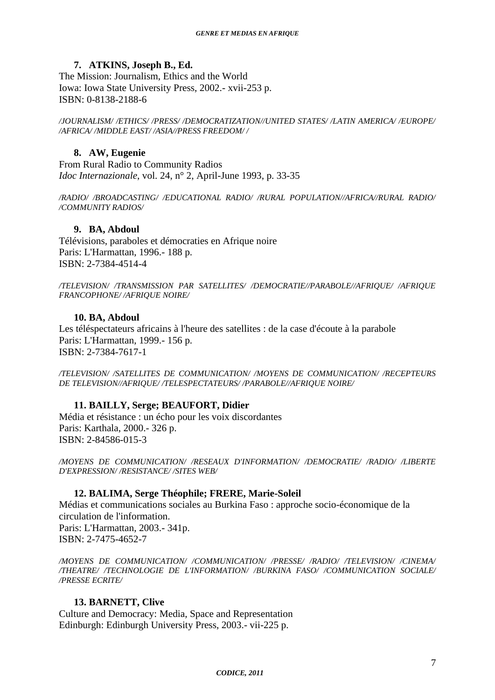## **7. ATKINS, Joseph B., Ed.**

The Mission: Journalism, Ethics and the World Iowa: Iowa State University Press, 2002.- xvii-253 p. ISBN: 0-8138-2188-6

*/JOURNALISM/ /ETHICS/ /PRESS/ /DEMOCRATIZATION//UNITED STATES/ /LATIN AMERICA/ /EUROPE/ /AFRICA/ /MIDDLE EAST/ /ASIA//PRESS FREEDOM/ /*

## **8. AW, Eugenie**

From Rural Radio to Community Radios *Idoc Internazionale*, vol. 24, n° 2, April-June 1993, p. 33-35

*/RADIO/ /BROADCASTING/ /EDUCATIONAL RADIO/ /RURAL POPULATION//AFRICA//RURAL RADIO/ /COMMUNITY RADIOS/*

### **9. BA, Abdoul**

Télévisions, paraboles et démocraties en Afrique noire Paris: L'Harmattan, 1996.- 188 p. ISBN: 2-7384-4514-4

*/TELEVISION/ /TRANSMISSION PAR SATELLITES/ /DEMOCRATIE//PARABOLE//AFRIQUE/ /AFRIQUE FRANCOPHONE/ /AFRIQUE NOIRE/*

#### **10. BA, Abdoul**

Les téléspectateurs africains à l'heure des satellites : de la case d'écoute à la parabole Paris: L'Harmattan, 1999.- 156 p. ISBN: 2-7384-7617-1

*/TELEVISION/ /SATELLITES DE COMMUNICATION/ /MOYENS DE COMMUNICATION/ /RECEPTEURS DE TELEVISION//AFRIQUE/ /TELESPECTATEURS/ /PARABOLE//AFRIQUE NOIRE/*

## **11. BAILLY, Serge; BEAUFORT, Didier**

Média et résistance : un écho pour les voix discordantes Paris: Karthala, 2000.- 326 p. ISBN: 2-84586-015-3

*/MOYENS DE COMMUNICATION/ /RESEAUX D'INFORMATION/ /DEMOCRATIE/ /RADIO/ /LIBERTE D'EXPRESSION/ /RESISTANCE/ /SITES WEB/*

#### **12. BALIMA, Serge Théophile; FRERE, Marie-Soleil**

Médias et communications sociales au Burkina Faso : approche socio-économique de la circulation de l'information. Paris: L'Harmattan, 2003.- 341p. ISBN: 2-7475-4652-7

*/MOYENS DE COMMUNICATION/ /COMMUNICATION/ /PRESSE/ /RADIO/ /TELEVISION/ /CINEMA/ /THEATRE/ /TECHNOLOGIE DE L'INFORMATION/ /BURKINA FASO/ /COMMUNICATION SOCIALE/ /PRESSE ECRITE/*

## **13. BARNETT, Clive**

Culture and Democracy: Media, Space and Representation Edinburgh: Edinburgh University Press, 2003.- vii-225 p.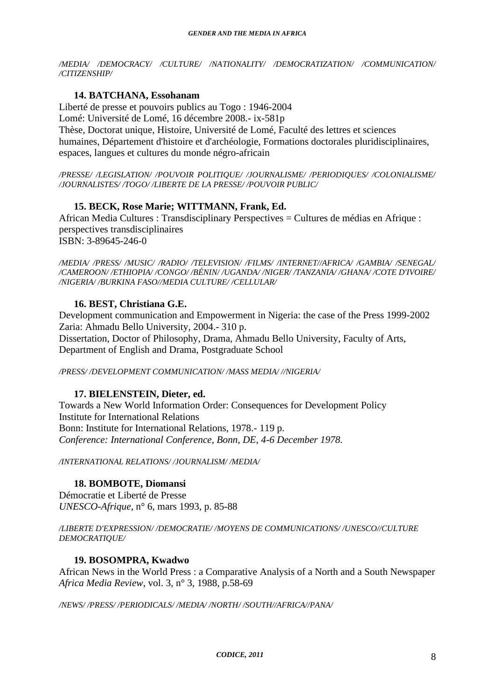*/MEDIA/ /DEMOCRACY/ /CULTURE/ /NATIONALITY/ /DEMOCRATIZATION/ /COMMUNICATION/ /CITIZENSHIP/*

## **14. BATCHANA, Essohanam**

Liberté de presse et pouvoirs publics au Togo : 1946-2004

Lomé: Université de Lomé, 16 décembre 2008.- ix-581p

Thèse, Doctorat unique, Histoire, Université de Lomé, Faculté des lettres et sciences humaines, Département d'histoire et d'archéologie, Formations doctorales pluridisciplinaires, espaces, langues et cultures du monde négro-africain

*/PRESSE/ /LEGISLATION/ /POUVOIR POLITIQUE/ /JOURNALISME/ /PERIODIQUES/ /COLONIALISME/ /JOURNALISTES/ /TOGO/ /LIBERTE DE LA PRESSE/ /POUVOIR PUBLIC/*

### **15. BECK, Rose Marie; WITTMANN, Frank, Ed.**

African Media Cultures : Transdisciplinary Perspectives = Cultures de médias en Afrique : perspectives transdisciplinaires ISBN: 3-89645-246-0

*/MEDIA/ /PRESS/ /MUSIC/ /RADIO/ /TELEVISION/ /FILMS/ /INTERNET//AFRICA/ /GAMBIA/ /SENEGAL/ /CAMEROON/ /ETHIOPIA/ /CONGO/ /BÉNIN/ /UGANDA/ /NIGER/ /TANZANIA/ /GHANA/ /COTE D'IVOIRE/ /NIGERIA/ /BURKINA FASO//MEDIA CULTURE/ /CELLULAR/*

### **16. BEST, Christiana G.E.**

Development communication and Empowerment in Nigeria: the case of the Press 1999-2002 Zaria: Ahmadu Bello University, 2004.- 310 p. Dissertation, Doctor of Philosophy, Drama, Ahmadu Bello University, Faculty of Arts,

Department of English and Drama, Postgraduate School

*/PRESS/ /DEVELOPMENT COMMUNICATION/ /MASS MEDIA/ //NIGERIA/*

#### **17. BIELENSTEIN, Dieter, ed.**

Towards a New World Information Order: Consequences for Development Policy Institute for International Relations Bonn: Institute for International Relations, 1978.- 119 p. *Conference: International Conference, Bonn, DE, 4-6 December 1978.*

*/INTERNATIONAL RELATIONS/ /JOURNALISM/ /MEDIA/*

## **18. BOMBOTE, Diomansi**

Démocratie et Liberté de Presse *UNESCO-Afrique*, n° 6, mars 1993, p. 85-88

*/LIBERTE D'EXPRESSION/ /DEMOCRATIE/ /MOYENS DE COMMUNICATIONS/ /UNESCO//CULTURE DEMOCRATIQUE/*

#### **19. BOSOMPRA, Kwadwo**

African News in the World Press : a Comparative Analysis of a North and a South Newspaper *Africa Media Review*, vol. 3, n° 3, 1988, p.58-69

*/NEWS/ /PRESS/ /PERIODICALS/ /MEDIA/ /NORTH/ /SOUTH//AFRICA//PANA/*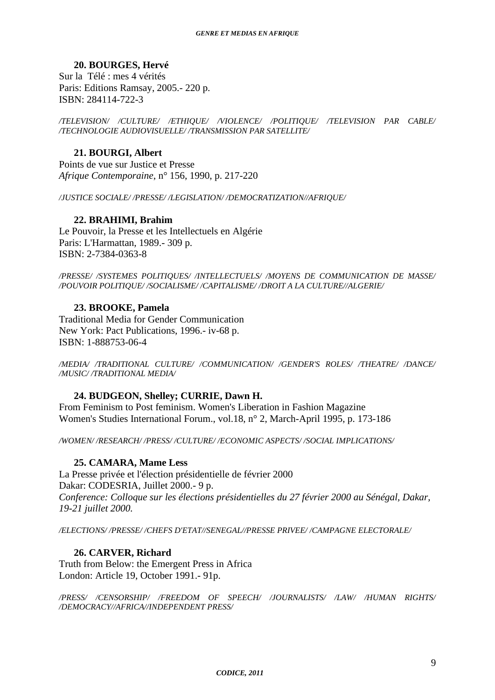#### **20. BOURGES, Hervé**

Sur la Télé : mes 4 vérités Paris: Editions Ramsay, 2005.- 220 p. ISBN: 284114-722-3

*/TELEVISION/ /CULTURE/ /ETHIQUE/ /VIOLENCE/ /POLITIQUE/ /TELEVISION PAR CABLE/ /TECHNOLOGIE AUDIOVISUELLE/ /TRANSMISSION PAR SATELLITE/*

### **21. BOURGI, Albert**

Points de vue sur Justice et Presse *Afrique Contemporaine*, n° 156, 1990, p. 217-220

*/JUSTICE SOCIALE/ /PRESSE/ /LEGISLATION/ /DEMOCRATIZATION//AFRIQUE/*

#### **22. BRAHIMI, Brahim**

Le Pouvoir, la Presse et les Intellectuels en Algérie Paris: L'Harmattan, 1989.- 309 p. ISBN: 2-7384-0363-8

*/PRESSE/ /SYSTEMES POLITIQUES/ /INTELLECTUELS/ /MOYENS DE COMMUNICATION DE MASSE/ /POUVOIR POLITIQUE/ /SOCIALISME/ /CAPITALISME/ /DROIT A LA CULTURE//ALGERIE/*

#### **23. BROOKE, Pamela**

Traditional Media for Gender Communication New York: Pact Publications, 1996.- iv-68 p. ISBN: 1-888753-06-4

*/MEDIA/ /TRADITIONAL CULTURE/ /COMMUNICATION/ /GENDER'S ROLES/ /THEATRE/ /DANCE/ /MUSIC/ /TRADITIONAL MEDIA/*

#### **24. BUDGEON, Shelley; CURRIE, Dawn H.**

From Feminism to Post feminism. Women's Liberation in Fashion Magazine Women's Studies International Forum., vol.18, n° 2, March-April 1995, p. 173-186

*/WOMEN/ /RESEARCH/ /PRESS/ /CULTURE/ /ECONOMIC ASPECTS/ /SOCIAL IMPLICATIONS/*

#### **25. CAMARA, Mame Less**

La Presse privée et l'élection présidentielle de février 2000 Dakar: CODESRIA, Juillet 2000.- 9 p. *Conference: Colloque sur les élections présidentielles du 27 février 2000 au Sénégal, Dakar, 19-21 juillet 2000.*

*/ELECTIONS/ /PRESSE/ /CHEFS D'ETAT//SENEGAL//PRESSE PRIVEE/ /CAMPAGNE ELECTORALE/*

**26. CARVER, Richard** Truth from Below: the Emergent Press in Africa London: Article 19, October 1991.- 91p.

*/PRESS/ /CENSORSHIP/ /FREEDOM OF SPEECH/ /JOURNALISTS/ /LAW/ /HUMAN RIGHTS/ /DEMOCRACY//AFRICA//INDEPENDENT PRESS/*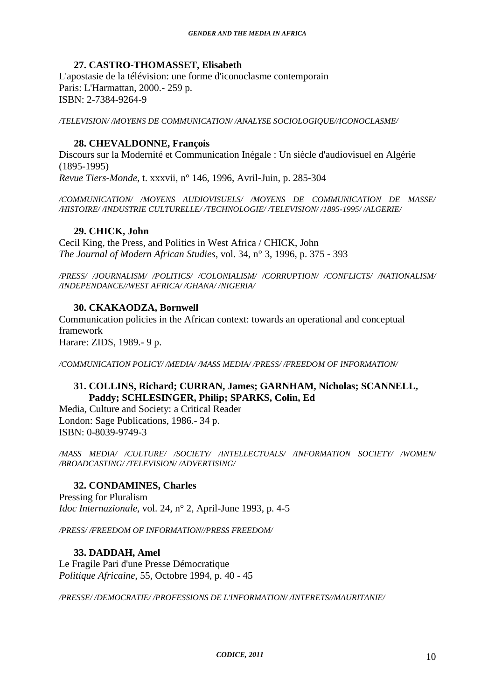### **27. CASTRO-THOMASSET, Elisabeth**

L'apostasie de la télévision: une forme d'iconoclasme contemporain Paris: L'Harmattan, 2000.- 259 p. ISBN: 2-7384-9264-9

*/TELEVISION/ /MOYENS DE COMMUNICATION/ /ANALYSE SOCIOLOGIQUE//ICONOCLASME/*

### **28. CHEVALDONNE, François**

Discours sur la Modernité et Communication Inégale : Un siècle d'audiovisuel en Algérie (1895-1995)

*Revue Tiers-Monde*, t. xxxvii, n° 146, 1996, Avril-Juin, p. 285-304

*/COMMUNICATION/ /MOYENS AUDIOVISUELS/ /MOYENS DE COMMUNICATION DE MASSE/ /HISTOIRE/ /INDUSTRIE CULTURELLE/ /TECHNOLOGIE/ /TELEVISION/ /1895-1995/ /ALGERIE/*

#### **29. CHICK, John**

Cecil King, the Press, and Politics in West Africa / CHICK, John *The Journal of Modern African Studies*, vol. 34, n° 3, 1996, p. 375 - 393

*/PRESS/ /JOURNALISM/ /POLITICS/ /COLONIALISM/ /CORRUPTION/ /CONFLICTS/ /NATIONALISM/ /INDEPENDANCE//WEST AFRICA/ /GHANA/ /NIGERIA/*

### **30. CKAKAODZA, Bornwell**

Communication policies in the African context: towards an operational and conceptual framework Harare: ZIDS, 1989.- 9 p.

*/COMMUNICATION POLICY/ /MEDIA/ /MASS MEDIA/ /PRESS/ /FREEDOM OF INFORMATION/*

### **31. COLLINS, Richard; CURRAN, James; GARNHAM, Nicholas; SCANNELL, Paddy; SCHLESINGER, Philip; SPARKS, Colin, Ed**

Media, Culture and Society: a Critical Reader London: Sage Publications, 1986.- 34 p. ISBN: 0-8039-9749-3

*/MASS MEDIA/ /CULTURE/ /SOCIETY/ /INTELLECTUALS/ /INFORMATION SOCIETY/ /WOMEN/ /BROADCASTING/ /TELEVISION/ /ADVERTISING/*

#### **32. CONDAMINES, Charles**

Pressing for Pluralism *Idoc Internazionale*, vol. 24, n° 2, April-June 1993, p. 4-5

*/PRESS/ /FREEDOM OF INFORMATION//PRESS FREEDOM/*

**33. DADDAH, Amel** Le Fragile Pari d'une Presse Démocratique *Politique Africaine*, 55, Octobre 1994, p. 40 - 45

*/PRESSE/ /DEMOCRATIE/ /PROFESSIONS DE L'INFORMATION/ /INTERETS//MAURITANIE/*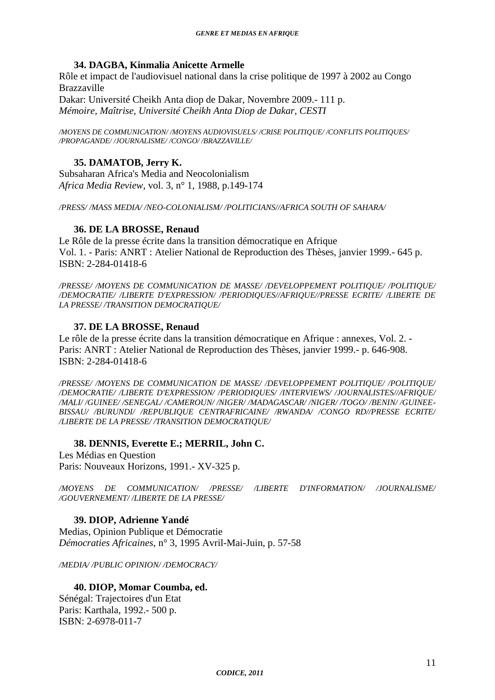### **34. DAGBA, Kinmalia Anicette Armelle**

Rôle et impact de l'audiovisuel national dans la crise politique de 1997 à 2002 au Congo Brazzaville

Dakar: Université Cheikh Anta diop de Dakar, Novembre 2009.- 111 p. *Mémoire, Maîtrise, Université Cheikh Anta Diop de Dakar, CESTI*

*/MOYENS DE COMMUNICATION/ /MOYENS AUDIOVISUELS/ /CRISE POLITIQUE/ /CONFLITS POLITIQUES/ /PROPAGANDE/ /JOURNALISME/ /CONGO/ /BRAZZAVILLE/*

## **35. DAMATOB, Jerry K.**

Subsaharan Africa's Media and Neocolonialism *Africa Media Review*, vol. 3, n° 1, 1988, p.149-174

*/PRESS/ /MASS MEDIA/ /NEO-COLONIALISM/ /POLITICIANS//AFRICA SOUTH OF SAHARA/*

### **36. DE LA BROSSE, Renaud**

Le Rôle de la presse écrite dans la transition démocratique en Afrique Vol. 1. - Paris: ANRT : Atelier National de Reproduction des Thèses, janvier 1999.- 645 p. ISBN: 2-284-01418-6

*/PRESSE/ /MOYENS DE COMMUNICATION DE MASSE/ /DEVELOPPEMENT POLITIQUE/ /POLITIQUE/ /DEMOCRATIE/ /LIBERTE D'EXPRESSION/ /PERIODIQUES//AFRIQUE//PRESSE ECRITE/ /LIBERTE DE LA PRESSE/ /TRANSITION DEMOCRATIQUE/*

### **37. DE LA BROSSE, Renaud**

Le rôle de la presse écrite dans la transition démocratique en Afrique : annexes, Vol. 2. - Paris: ANRT : Atelier National de Reproduction des Thèses, janvier 1999.- p. 646-908. ISBN: 2-284-01418-6

*/PRESSE/ /MOYENS DE COMMUNICATION DE MASSE/ /DEVELOPPEMENT POLITIQUE/ /POLITIQUE/ /DEMOCRATIE/ /LIBERTE D'EXPRESSION/ /PERIODIQUES/ /INTERVIEWS/ /JOURNALISTES//AFRIQUE/ /MALI/ /GUINEE/ /SENEGAL/ /CAMEROUN/ /NIGER/ /MADAGASCAR/ /NIGER/ /TOGO/ /BENIN/ /GUINEE-BISSAU/ /BURUNDI/ /REPUBLIQUE CENTRAFRICAINE/ /RWANDA/ /CONGO RD//PRESSE ECRITE/ /LIBERTE DE LA PRESSE/ /TRANSITION DEMOCRATIQUE/*

#### **38. DENNIS, Everette E.; MERRIL, John C.**

Les Médias en Question Paris: Nouveaux Horizons, 1991.- XV-325 p.

*/MOYENS DE COMMUNICATION/ /PRESSE/ /LIBERTE D'INFORMATION/ /JOURNALISME/ /GOUVERNEMENT/ /LIBERTE DE LA PRESSE/*

#### **39. DIOP, Adrienne Yandé**

Medias, Opinion Publique et Démocratie *Démocraties Africaines*, n° 3, 1995 Avril-Mai-Juin, p. 57-58

*/MEDIA/ /PUBLIC OPINION/ /DEMOCRACY/*

## **40. DIOP, Momar Coumba, ed.**

Sénégal: Trajectoires d'un Etat Paris: Karthala, 1992.- 500 p. ISBN: 2-6978-011-7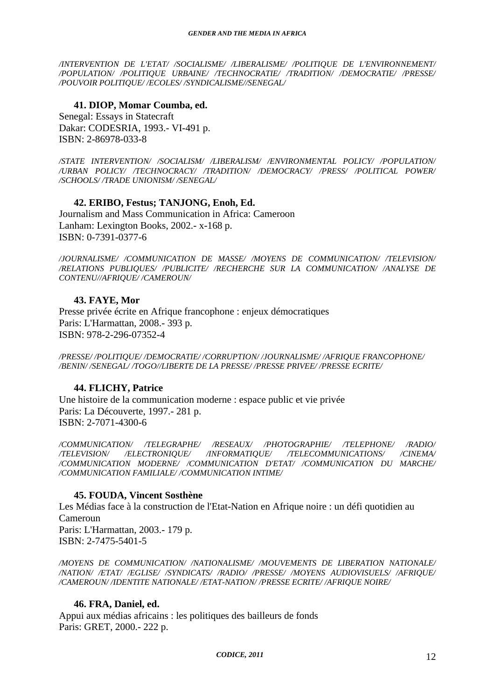*/INTERVENTION DE L'ETAT/ /SOCIALISME/ /LIBERALISME/ /POLITIQUE DE L'ENVIRONNEMENT/ /POPULATION/ /POLITIQUE URBAINE/ /TECHNOCRATIE/ /TRADITION/ /DEMOCRATIE/ /PRESSE/ /POUVOIR POLITIQUE/ /ECOLES/ /SYNDICALISME//SENEGAL/*

#### **41. DIOP, Momar Coumba, ed.**

Senegal: Essays in Statecraft Dakar: CODESRIA, 1993.- VI-491 p. ISBN: 2-86978-033-8

*/STATE INTERVENTION/ /SOCIALISM/ /LIBERALISM/ /ENVIRONMENTAL POLICY/ /POPULATION/ /URBAN POLICY/ /TECHNOCRACY/ /TRADITION/ /DEMOCRACY/ /PRESS/ /POLITICAL POWER/ /SCHOOLS/ /TRADE UNIONISM/ /SENEGAL/*

#### **42. ERIBO, Festus; TANJONG, Enoh, Ed.**

Journalism and Mass Communication in Africa: Cameroon Lanham: Lexington Books, 2002.- x-168 p. ISBN: 0-7391-0377-6

*/JOURNALISME/ /COMMUNICATION DE MASSE/ /MOYENS DE COMMUNICATION/ /TELEVISION/ /RELATIONS PUBLIQUES/ /PUBLICITE/ /RECHERCHE SUR LA COMMUNICATION/ /ANALYSE DE CONTENU//AFRIQUE/ /CAMEROUN/*

#### **43. FAYE, Mor**

Presse privée écrite en Afrique francophone : enjeux démocratiques Paris: L'Harmattan, 2008.- 393 p. ISBN: 978-2-296-07352-4

*/PRESSE/ /POLITIQUE/ /DEMOCRATIE/ /CORRUPTION/ /JOURNALISME/ /AFRIQUE FRANCOPHONE/ /BENIN/ /SENEGAL/ /TOGO//LIBERTE DE LA PRESSE/ /PRESSE PRIVEE/ /PRESSE ECRITE/*

#### **44. FLICHY, Patrice**

Une histoire de la communication moderne : espace public et vie privée Paris: La Découverte, 1997.- 281 p. ISBN: 2-7071-4300-6

*/COMMUNICATION/ /TELEGRAPHE/ /RESEAUX/ /PHOTOGRAPHIE/ /TELEPHONE/ /RADIO/ /TELEVISION/ /ELECTRONIQUE/ /INFORMATIQUE/ /TELECOMMUNICATIONS/ /CINEMA/ /COMMUNICATION MODERNE/ /COMMUNICATION D'ETAT/ /COMMUNICATION DU MARCHE/ /COMMUNICATION FAMILIALE/ /COMMUNICATION INTIME/*

#### **45. FOUDA, Vincent Sosthène**

Les Médias face à la construction de l'Etat-Nation en Afrique noire : un défi quotidien au Cameroun Paris: L'Harmattan, 2003.- 179 p. ISBN: 2-7475-5401-5

*/MOYENS DE COMMUNICATION/ /NATIONALISME/ /MOUVEMENTS DE LIBERATION NATIONALE/ /NATION/ /ETAT/ /EGLISE/ /SYNDICATS/ /RADIO/ /PRESSE/ /MOYENS AUDIOVISUELS/ /AFRIQUE/ /CAMEROUN/ /IDENTITE NATIONALE/ /ETAT-NATION/ /PRESSE ECRITE/ /AFRIQUE NOIRE/*

#### **46. FRA, Daniel, ed.**

Appui aux médias africains : les politiques des bailleurs de fonds Paris: GRET, 2000.- 222 p.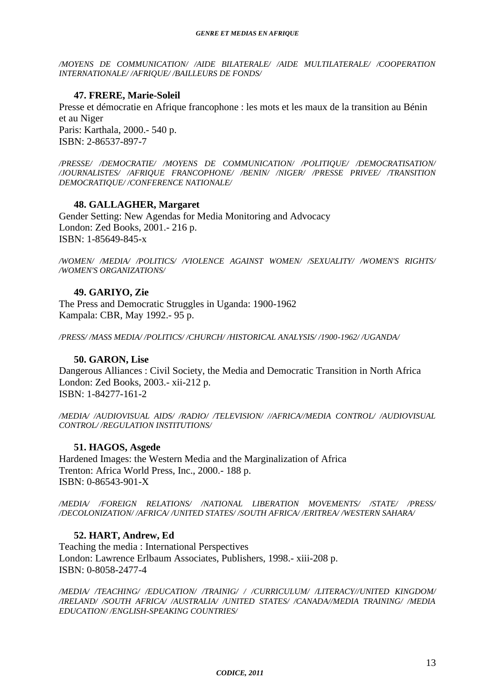*/MOYENS DE COMMUNICATION/ /AIDE BILATERALE/ /AIDE MULTILATERALE/ /COOPERATION INTERNATIONALE/ /AFRIQUE/ /BAILLEURS DE FONDS/*

## **47. FRERE, Marie-Soleil**

Presse et démocratie en Afrique francophone : les mots et les maux de la transition au Bénin et au Niger Paris: Karthala, 2000.- 540 p. ISBN: 2-86537-897-7

*/PRESSE/ /DEMOCRATIE/ /MOYENS DE COMMUNICATION/ /POLITIQUE/ /DEMOCRATISATION/ /JOURNALISTES/ /AFRIQUE FRANCOPHONE/ /BENIN/ /NIGER/ /PRESSE PRIVEE/ /TRANSITION DEMOCRATIQUE/ /CONFERENCE NATIONALE/*

#### **48. GALLAGHER, Margaret**

Gender Setting: New Agendas for Media Monitoring and Advocacy London: Zed Books, 2001.- 216 p. ISBN: 1-85649-845-x

*/WOMEN/ /MEDIA/ /POLITICS/ /VIOLENCE AGAINST WOMEN/ /SEXUALITY/ /WOMEN'S RIGHTS/ /WOMEN'S ORGANIZATIONS/*

#### **49. GARIYO, Zie**

The Press and Democratic Struggles in Uganda: 1900-1962 Kampala: CBR, May 1992.- 95 p.

*/PRESS/ /MASS MEDIA/ /POLITICS/ /CHURCH/ /HISTORICAL ANALYSIS/ /1900-1962/ /UGANDA/*

#### **50. GARON, Lise**

Dangerous Alliances : Civil Society, the Media and Democratic Transition in North Africa London: Zed Books, 2003.- xii-212 p. ISBN: 1-84277-161-2

*/MEDIA/ /AUDIOVISUAL AIDS/ /RADIO/ /TELEVISION/ //AFRICA//MEDIA CONTROL/ /AUDIOVISUAL CONTROL/ /REGULATION INSTITUTIONS/*

#### **51. HAGOS, Asgede**

Hardened Images: the Western Media and the Marginalization of Africa Trenton: Africa World Press, Inc., 2000.- 188 p. ISBN: 0-86543-901-X

*/MEDIA/ /FOREIGN RELATIONS/ /NATIONAL LIBERATION MOVEMENTS/ /STATE/ /PRESS/ /DECOLONIZATION/ /AFRICA/ /UNITED STATES/ /SOUTH AFRICA/ /ERITREA/ /WESTERN SAHARA/*

#### **52. HART, Andrew, Ed**

Teaching the media : International Perspectives London: Lawrence Erlbaum Associates, Publishers, 1998.- xiii-208 p. ISBN: 0-8058-2477-4

*/MEDIA/ /TEACHING/ /EDUCATION/ /TRAINIG/ / /CURRICULUM/ /LITERACY//UNITED KINGDOM/ /IRELAND/ /SOUTH AFRICA/ /AUSTRALIA/ /UNITED STATES/ /CANADA//MEDIA TRAINING/ /MEDIA EDUCATION/ /ENGLISH-SPEAKING COUNTRIES/*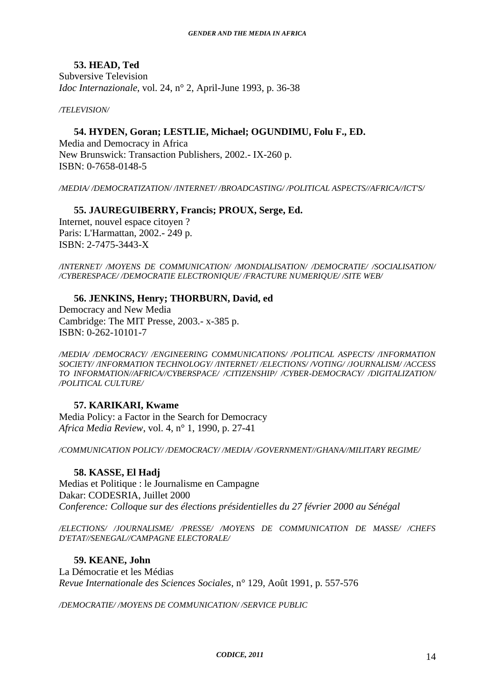### **53. HEAD, Ted** Subversive Television *Idoc Internazionale*, vol. 24, n° 2, April-June 1993, p. 36-38

*/TELEVISION/*

#### **54. HYDEN, Goran; LESTLIE, Michael; OGUNDIMU, Folu F., ED.**

Media and Democracy in Africa New Brunswick: Transaction Publishers, 2002.- IX-260 p. ISBN: 0-7658-0148-5

*/MEDIA/ /DEMOCRATIZATION/ /INTERNET/ /BROADCASTING/ /POLITICAL ASPECTS//AFRICA//ICT'S/*

### **55. JAUREGUIBERRY, Francis; PROUX, Serge, Ed.**

Internet, nouvel espace citoyen ? Paris: L'Harmattan, 2002.- 249 p. ISBN: 2-7475-3443-X

*/INTERNET/ /MOYENS DE COMMUNICATION/ /MONDIALISATION/ /DEMOCRATIE/ /SOCIALISATION/ /CYBERESPACE/ /DEMOCRATIE ELECTRONIQUE/ /FRACTURE NUMERIQUE/ /SITE WEB/*

#### **56. JENKINS, Henry; THORBURN, David, ed**

Democracy and New Media Cambridge: The MIT Presse, 2003.- x-385 p. ISBN: 0-262-10101-7

*/MEDIA/ /DEMOCRACY/ /ENGINEERING COMMUNICATIONS/ /POLITICAL ASPECTS/ /INFORMATION SOCIETY/ /INFORMATION TECHNOLOGY/ /INTERNET/ /ELECTIONS/ /VOTING/ /JOURNALISM/ /ACCESS TO INFORMATION//AFRICA//CYBERSPACE/ /CITIZENSHIP/ /CYBER-DEMOCRACY/ /DIGITALIZATION/ /POLITICAL CULTURE/*

#### **57. KARIKARI, Kwame**

Media Policy: a Factor in the Search for Democracy *Africa Media Review*, vol. 4, n° 1, 1990, p. 27-41

*/COMMUNICATION POLICY/ /DEMOCRACY/ /MEDIA/ /GOVERNMENT//GHANA//MILITARY REGIME/*

#### **58. KASSE, El Hadj**

Medias et Politique : le Journalisme en Campagne Dakar: CODESRIA, Juillet 2000 *Conference: Colloque sur des élections présidentielles du 27 février 2000 au Sénégal*

*/ELECTIONS/ /JOURNALISME/ /PRESSE/ /MOYENS DE COMMUNICATION DE MASSE/ /CHEFS D'ETAT//SENEGAL//CAMPAGNE ELECTORALE/*

#### **59. KEANE, John**

La Démocratie et les Médias *Revue Internationale des Sciences Sociales*, n° 129, Août 1991, p. 557-576

*/DEMOCRATIE/ /MOYENS DE COMMUNICATION/ /SERVICE PUBLIC*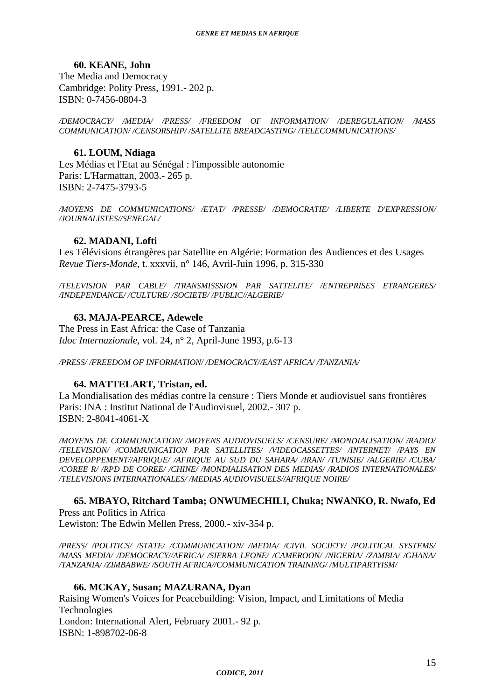#### **60. KEANE, John**

The Media and Democracy Cambridge: Polity Press, 1991.- 202 p. ISBN: 0-7456-0804-3

*/DEMOCRACY/ /MEDIA/ /PRESS/ /FREEDOM OF INFORMATION/ /DEREGULATION/ /MASS COMMUNICATION/ /CENSORSHIP/ /SATELLITE BREADCASTING/ /TELECOMMUNICATIONS/*

#### **61. LOUM, Ndiaga**

Les Médias et l'Etat au Sénégal : l'impossible autonomie Paris: L'Harmattan, 2003.- 265 p. ISBN: 2-7475-3793-5

*/MOYENS DE COMMUNICATIONS/ /ETAT/ /PRESSE/ /DEMOCRATIE/ /LIBERTE D'EXPRESSION/ /JOURNALISTES//SENEGAL/*

#### **62. MADANI, Lofti**

Les Télévisions étrangères par Satellite en Algérie: Formation des Audiences et des Usages *Revue Tiers-Monde*, t. xxxvii, n° 146, Avril-Juin 1996, p. 315-330

*/TELEVISION PAR CABLE/ /TRANSMISSSION PAR SATTELITE/ /ENTREPRISES ETRANGERES/ /INDEPENDANCE/ /CULTURE/ /SOCIETE/ /PUBLIC//ALGERIE/*

#### **63. MAJA-PEARCE, Adewele**

The Press in East Africa: the Case of Tanzania *Idoc Internazionale*, vol. 24, n° 2, April-June 1993, p.6-13

*/PRESS/ /FREEDOM OF INFORMATION/ /DEMOCRACY//EAST AFRICA/ /TANZANIA/*

#### **64. MATTELART, Tristan, ed.**

La Mondialisation des médias contre la censure : Tiers Monde et audiovisuel sans frontières Paris: INA : Institut National de l'Audiovisuel, 2002.- 307 p. ISBN: 2-8041-4061-X

*/MOYENS DE COMMUNICATION/ /MOYENS AUDIOVISUELS/ /CENSURE/ /MONDIALISATION/ /RADIO/ /TELEVISION/ /COMMUNICATION PAR SATELLITES/ /VIDEOCASSETTES/ /INTERNET/ /PAYS EN DEVELOPPEMENT//AFRIQUE/ /AFRIQUE AU SUD DU SAHARA/ /IRAN/ /TUNISIE/ /ALGERIE/ /CUBA/ /COREE R/ /RPD DE COREE/ /CHINE/ /MONDIALISATION DES MEDIAS/ /RADIOS INTERNATIONALES/ /TELEVISIONS INTERNATIONALES/ /MEDIAS AUDIOVISUELS//AFRIQUE NOIRE/*

**65. MBAYO, Ritchard Tamba; ONWUMECHILI, Chuka; NWANKO, R. Nwafo, Ed** Press ant Politics in Africa Lewiston: The Edwin Mellen Press, 2000.- xiv-354 p.

*/PRESS/ /POLITICS/ /STATE/ /COMMUNICATION/ /MEDIA/ /CIVIL SOCIETY/ /POLITICAL SYSTEMS/ /MASS MEDIA/ /DEMOCRACY//AFRICA/ /SIERRA LEONE/ /CAMEROON/ /NIGERIA/ /ZAMBIA/ /GHANA/ /TANZANIA/ /ZIMBABWE/ /SOUTH AFRICA//COMMUNICATION TRAINING/ /MULTIPARTYISM/*

#### **66. MCKAY, Susan; MAZURANA, Dyan**

Raising Women's Voices for Peacebuilding: Vision, Impact, and Limitations of Media Technologies London: International Alert, February 2001.- 92 p. ISBN: 1-898702-06-8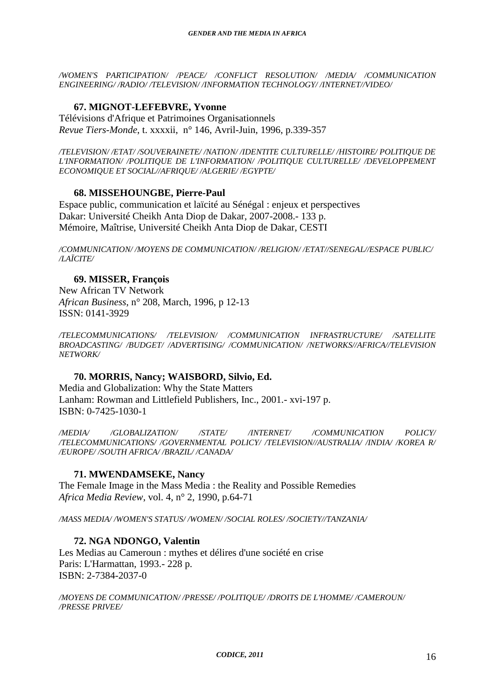*/WOMEN'S PARTICIPATION/ /PEACE/ /CONFLICT RESOLUTION/ /MEDIA/ /COMMUNICATION ENGINEERING/ /RADIO/ /TELEVISION/ /INFORMATION TECHNOLOGY/ /INTERNET//VIDEO/*

#### **67. MIGNOT-LEFEBVRE, Yvonne**

Télévisions d'Afrique et Patrimoines Organisationnels *Revue Tiers-Monde*, t. xxxxii, n° 146, Avril-Juin, 1996, p.339-357

*/TELEVISION/ /ETAT/ /SOUVERAINETE/ /NATION/ /IDENTITE CULTURELLE/ /HISTOIRE/ POLITIQUE DE L'INFORMATION/ /POLITIQUE DE L'INFORMATION/ /POLITIQUE CULTURELLE/ /DEVELOPPEMENT ECONOMIQUE ET SOCIAL//AFRIQUE/ /ALGERIE/ /EGYPTE/*

### **68. MISSEHOUNGBE, Pierre-Paul**

Espace public, communication et laïcité au Sénégal : enjeux et perspectives Dakar: Université Cheikh Anta Diop de Dakar, 2007-2008.- 133 p. Mémoire, Maîtrise, Université Cheikh Anta Diop de Dakar, CESTI

*/COMMUNICATION/ /MOYENS DE COMMUNICATION/ /RELIGION/ /ETAT//SENEGAL//ESPACE PUBLIC/ /LAÏCITE/*

### **69. MISSER, François**

New African TV Network *African Business*, n° 208, March, 1996, p 12-13 ISSN: 0141-3929

*/TELECOMMUNICATIONS/ /TELEVISION/ /COMMUNICATION INFRASTRUCTURE/ /SATELLITE BROADCASTING/ /BUDGET/ /ADVERTISING/ /COMMUNICATION/ /NETWORKS//AFRICA//TELEVISION NETWORK/*

## **70. MORRIS, Nancy; WAISBORD, Silvio, Ed.**

Media and Globalization: Why the State Matters Lanham: Rowman and Littlefield Publishers, Inc., 2001.- xvi-197 p. ISBN: 0-7425-1030-1

*/MEDIA/ /GLOBALIZATION/ /STATE/ /INTERNET/ /COMMUNICATION POLICY/ /TELECOMMUNICATIONS/ /GOVERNMENTAL POLICY/ /TELEVISION//AUSTRALIA/ /INDIA/ /KOREA R/ /EUROPE/ /SOUTH AFRICA/ /BRAZIL/ /CANADA/*

## **71. MWENDAMSEKE, Nancy**

The Female Image in the Mass Media : the Reality and Possible Remedies *Africa Media Review*, vol. 4, n° 2, 1990, p.64-71

*/MASS MEDIA/ /WOMEN'S STATUS/ /WOMEN/ /SOCIAL ROLES/ /SOCIETY//TANZANIA/*

## **72. NGA NDONGO, Valentin**

Les Medias au Cameroun : mythes et délires d'une société en crise Paris: L'Harmattan, 1993.- 228 p. ISBN: 2-7384-2037-0

*/MOYENS DE COMMUNICATION/ /PRESSE/ /POLITIQUE/ /DROITS DE L'HOMME/ /CAMEROUN/ /PRESSE PRIVEE/*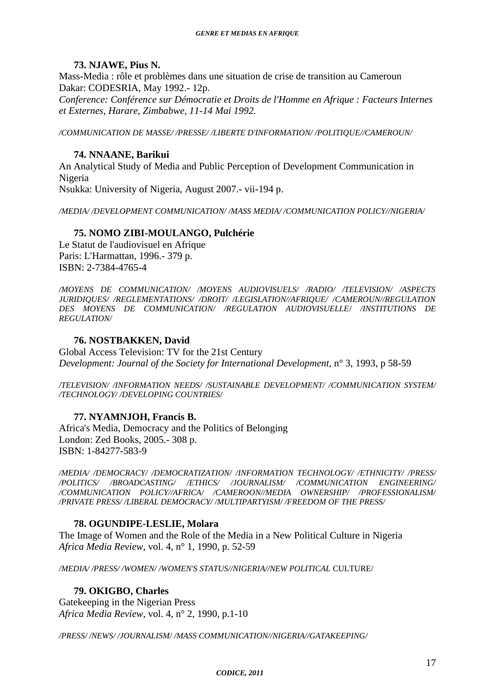#### **73. NJAWE, Pius N.**

Mass-Media : rôle et problèmes dans une situation de crise de transition au Cameroun Dakar: CODESRIA, May 1992.- 12p.

*Conference: Conférence sur Démocratie et Droits de l'Homme en Afrique : Facteurs Internes et Externes, Harare, Zimbabwe, 11-14 Mai 1992.*

*/COMMUNICATION DE MASSE/ /PRESSE/ /LIBERTE D'INFORMATION/ /POLITIQUE//CAMEROUN/*

#### **74. NNAANE, Barikui**

An Analytical Study of Media and Public Perception of Development Communication in Nigeria Nsukka: University of Nigeria, August 2007.- vii-194 p.

*/MEDIA/ /DEVELOPMENT COMMUNICATION/ /MASS MEDIA/ /COMMUNICATION POLICY//NIGERIA/*

#### **75. NOMO ZIBI-MOULANGO, Pulchérie**

Le Statut de l'audiovisuel en Afrique Paris: L'Harmattan, 1996.- 379 p. ISBN: 2-7384-4765-4

*/MOYENS DE COMMUNICATION/ /MOYENS AUDIOVISUELS/ /RADIO/ /TELEVISION/ /ASPECTS JURIDIQUES/ /REGLEMENTATIONS/ /DROIT/ /LEGISLATION//AFRIQUE/ /CAMEROUN//REGULATION DES MOYENS DE COMMUNICATION/ /REGULATION AUDIOVISUELLE/ /INSTITUTIONS DE REGULATION/*

#### **76. NOSTBAKKEN, David**

Global Access Television: TV for the 21st Century *Development: Journal of the Society for International Development*, n° 3, 1993, p 58-59

*/TELEVISION/ /INFORMATION NEEDS/ /SUSTAINABLE DEVELOPMENT/ /COMMUNICATION SYSTEM/ /TECHNOLOGY/ /DEVELOPING COUNTRIES/*

#### **77. NYAMNJOH, Francis B.**

Africa's Media, Democracy and the Politics of Belonging London: Zed Books, 2005.- 308 p. ISBN: 1-84277-583-9

*/MEDIA/ /DEMOCRACY/ /DEMOCRATIZATION/ /INFORMATION TECHNOLOGY/ /ETHNICITY/ /PRESS/ /POLITICS/ /BROADCASTING/ /ETHICS/ /JOURNALISM/ /COMMUNICATION ENGINEERING/ /COMMUNICATION POLICY//AFRICA/ /CAMEROON//MEDIA OWNERSHIP/ /PROFESSIONALISM/ /PRIVATE PRESS/ /LIBERAL DEMOCRACY/ /MULTIPARTYISM/ /FREEDOM OF THE PRESS/*

#### **78. OGUNDIPE-LESLIE, Molara**

The Image of Women and the Role of the Media in a New Political Culture in Nigeria *Africa Media Review*, vol. 4, n° 1, 1990, p. 52-59

*/MEDIA/ /PRESS/ /WOMEN/ /WOMEN'S STATUS//NIGERIA//NEW POLITICAL* CULTURE/

#### **79. OKIGBO, Charles**

Gatekeeping in the Nigerian Press *Africa Media Review*, vol. 4, n° 2, 1990, p.1-10

*/PRESS/ /NEWS/ /JOURNALISM/ /MASS COMMUNICATION//NIGERIA//GATAKEEPING/*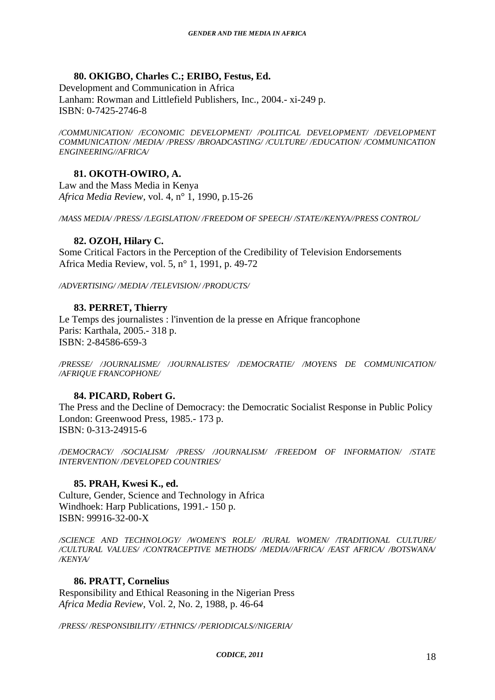## **80. OKIGBO, Charles C.; ERIBO, Festus, Ed.**

Development and Communication in Africa Lanham: Rowman and Littlefield Publishers, Inc., 2004.- xi-249 p. ISBN: 0-7425-2746-8

*/COMMUNICATION/ /ECONOMIC DEVELOPMENT/ /POLITICAL DEVELOPMENT/ /DEVELOPMENT COMMUNICATION/ /MEDIA/ /PRESS/ /BROADCASTING/ /CULTURE/ /EDUCATION/ /COMMUNICATION ENGINEERING//AFRICA/* 

#### **81. OKOTH-OWIRO, A.**

Law and the Mass Media in Kenya *Africa Media Review*, vol. 4, n° 1, 1990, p.15-26

*/MASS MEDIA/ /PRESS/ /LEGISLATION/ /FREEDOM OF SPEECH/ /STATE//KENYA//PRESS CONTROL/*

#### **82. OZOH, Hilary C.**

Some Critical Factors in the Perception of the Credibility of Television Endorsements Africa Media Review, vol. 5, n° 1, 1991, p. 49-72

*/ADVERTISING/ /MEDIA/ /TELEVISION/ /PRODUCTS/*

#### **83. PERRET, Thierry**

Le Temps des journalistes : l'invention de la presse en Afrique francophone Paris: Karthala, 2005.- 318 p. ISBN: 2-84586-659-3

*/PRESSE/ /JOURNALISME/ /JOURNALISTES/ /DEMOCRATIE/ /MOYENS DE COMMUNICATION/ /AFRIQUE FRANCOPHONE/*

#### **84. PICARD, Robert G.**

The Press and the Decline of Democracy: the Democratic Socialist Response in Public Policy London: Greenwood Press, 1985.- 173 p. ISBN: 0-313-24915-6

*/DEMOCRACY/ /SOCIALISM/ /PRESS/ /JOURNALISM/ /FREEDOM OF INFORMATION/ /STATE INTERVENTION/ /DEVELOPED COUNTRIES/*

#### **85. PRAH, Kwesi K., ed.**

Culture, Gender, Science and Technology in Africa Windhoek: Harp Publications, 1991.- 150 p. ISBN: 99916-32-00-X

*/SCIENCE AND TECHNOLOGY/ /WOMEN'S ROLE/ /RURAL WOMEN/ /TRADITIONAL CULTURE/ /CULTURAL VALUES/ /CONTRACEPTIVE METHODS/ /MEDIA//AFRICA/ /EAST AFRICA/ /BOTSWANA/ /KENYA/*

#### **86. PRATT, Cornelius**

Responsibility and Ethical Reasoning in the Nigerian Press *Africa Media Review*, Vol. 2, No. 2, 1988, p. 46-64

*/PRESS/ /RESPONSIBILITY/ /ETHNICS/ /PERIODICALS//NIGERIA/*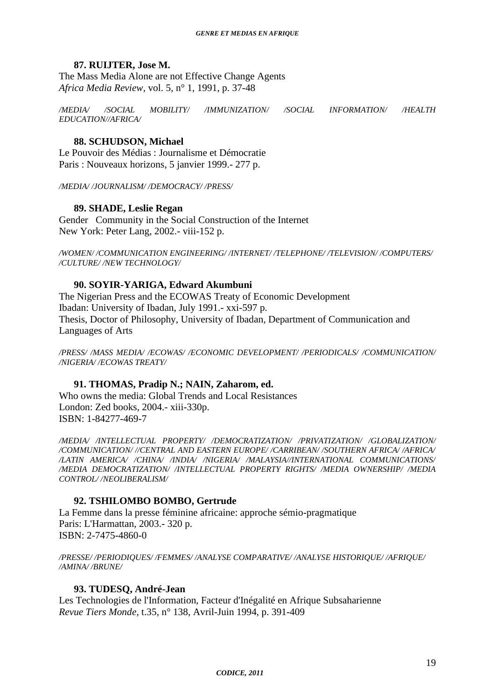### **87. RUIJTER, Jose M.**

The Mass Media Alone are not Effective Change Agents *Africa Media Review*, vol. 5, n° 1, 1991, p. 37-48

*/MEDIA/ /SOCIAL MOBILITY/ /IMMUNIZATION/ /SOCIAL INFORMATION/ /HEALTH EDUCATION//AFRICA/*

### **88. SCHUDSON, Michael**

Le Pouvoir des Médias : Journalisme et Démocratie Paris : Nouveaux horizons, 5 janvier 1999.- 277 p.

*/MEDIA/ /JOURNALISM/ /DEMOCRACY/ /PRESS/*

#### **89. SHADE, Leslie Regan**

Gender Community in the Social Construction of the Internet New York: Peter Lang, 2002.- viii-152 p.

*/WOMEN/ /COMMUNICATION ENGINEERING/ /INTERNET/ /TELEPHONE/ /TELEVISION/ /COMPUTERS/ /CULTURE/ /NEW TECHNOLOGY/*

### **90. SOYIR-YARIGA, Edward Akumbuni**

The Nigerian Press and the ECOWAS Treaty of Economic Development Ibadan: University of Ibadan, July 1991.- xxi-597 p. Thesis, Doctor of Philosophy, University of Ibadan, Department of Communication and Languages of Arts

*/PRESS/ /MASS MEDIA/ /ECOWAS/ /ECONOMIC DEVELOPMENT/ /PERIODICALS/ /COMMUNICATION/ /NIGERIA/ /ECOWAS TREATY/*

#### **91. THOMAS, Pradip N.; NAIN, Zaharom, ed.**

Who owns the media: Global Trends and Local Resistances London: Zed books, 2004.- xiii-330p. ISBN: 1-84277-469-7

*/MEDIA/ /INTELLECTUAL PROPERTY/ /DEMOCRATIZATION/ /PRIVATIZATION/ /GLOBALIZATION/ /COMMUNICATION/ //CENTRAL AND EASTERN EUROPE/ /CARRIBEAN/ /SOUTHERN AFRICA/ /AFRICA/ /LATIN AMERICA/ /CHINA/ /INDIA/ /NIGERIA/ /MALAYSIA//INTERNATIONAL COMMUNICATIONS/ /MEDIA DEMOCRATIZATION/ /INTELLECTUAL PROPERTY RIGHTS/ /MEDIA OWNERSHIP/ /MEDIA CONTROL/ /NEOLIBERALISM/*

#### **92. TSHILOMBO BOMBO, Gertrude**

La Femme dans la presse féminine africaine: approche sémio-pragmatique Paris: L'Harmattan, 2003.- 320 p. ISBN: 2-7475-4860-0

*/PRESSE/ /PERIODIQUES/ /FEMMES/ /ANALYSE COMPARATIVE/ /ANALYSE HISTORIQUE/ /AFRIQUE/ /AMINA/ /BRUNE/*

## **93. TUDESQ, André-Jean**

Les Technologies de l'Information, Facteur d'Inégalité en Afrique Subsaharienne *Revue Tiers Monde*, t.35, n° 138, Avril-Juin 1994, p. 391-409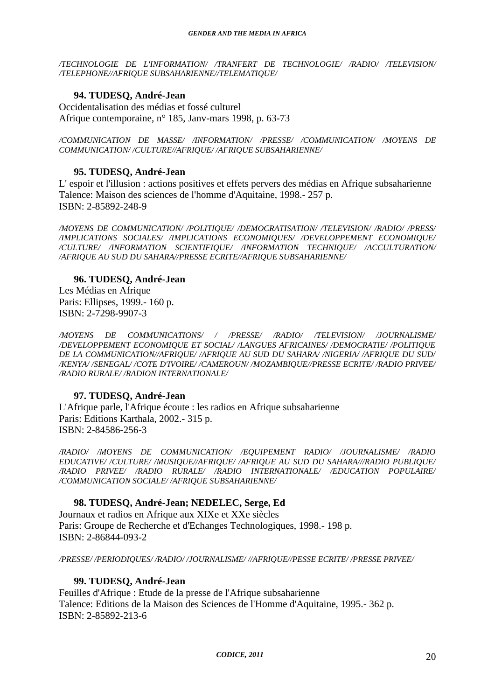*/TECHNOLOGIE DE L'INFORMATION/ /TRANFERT DE TECHNOLOGIE/ /RADIO/ /TELEVISION/ /TELEPHONE//AFRIQUE SUBSAHARIENNE//TELEMATIQUE/*

#### **94. TUDESQ, André-Jean**

Occidentalisation des médias et fossé culturel Afrique contemporaine, n° 185, Janv-mars 1998, p. 63-73

*/COMMUNICATION DE MASSE/ /INFORMATION/ /PRESSE/ /COMMUNICATION/ /MOYENS DE COMMUNICATION/ /CULTURE//AFRIQUE/ /AFRIQUE SUBSAHARIENNE/*

#### **95. TUDESQ, André-Jean**

L' espoir et l'illusion : actions positives et effets pervers des médias en Afrique subsaharienne Talence: Maison des sciences de l'homme d'Aquitaine, 1998.- 257 p. ISBN: 2-85892-248-9

*/MOYENS DE COMMUNICATION/ /POLITIQUE/ /DEMOCRATISATION/ /TELEVISION/ /RADIO/ /PRESS/ /IMPLICATIONS SOCIALES/ /IMPLICATIONS ECONOMIQUES/ /DEVELOPPEMENT ECONOMIQUE/ /CULTURE/ /INFORMATION SCIENTIFIQUE/ /INFORMATION TECHNIQUE/ /ACCULTURATION/ /AFRIQUE AU SUD DU SAHARA//PRESSE ECRITE//AFRIQUE SUBSAHARIENNE/*

#### **96. TUDESQ, André-Jean**

Les Médias en Afrique Paris: Ellipses, 1999.- 160 p. ISBN: 2-7298-9907-3

*/MOYENS DE COMMUNICATIONS/ / /PRESSE/ /RADIO/ /TELEVISION/ /JOURNALISME/ /DEVELOPPEMENT ECONOMIQUE ET SOCIAL/ /LANGUES AFRICAINES/ /DEMOCRATIE/ /POLITIQUE DE LA COMMUNICATION//AFRIQUE/ /AFRIQUE AU SUD DU SAHARA/ /NIGERIA/ /AFRIQUE DU SUD/ /KENYA/ /SENEGAL/ /COTE D'IVOIRE/ /CAMEROUN/ /MOZAMBIQUE//PRESSE ECRITE/ /RADIO PRIVEE/ /RADIO RURALE/ /RADION INTERNATIONALE/* 

#### **97. TUDESQ, André-Jean**

L'Afrique parle, l'Afrique écoute : les radios en Afrique subsaharienne Paris: Editions Karthala, 2002.- 315 p. ISBN: 2-84586-256-3

*/RADIO/ /MOYENS DE COMMUNICATION/ /EQUIPEMENT RADIO/ /JOURNALISME/ /RADIO EDUCATIVE/ /CULTURE/ /MUSIQUE//AFRIQUE/ /AFRIQUE AU SUD DU SAHARA///RADIO PUBLIQUE/ /RADIO PRIVEE/ /RADIO RURALE/ /RADIO INTERNATIONALE/ /EDUCATION POPULAIRE/ /COMMUNICATION SOCIALE/ /AFRIQUE SUBSAHARIENNE/*

#### **98. TUDESQ, André-Jean; NEDELEC, Serge, Ed**

Journaux et radios en Afrique aux XIXe et XXe siècles Paris: Groupe de Recherche et d'Echanges Technologiques, 1998.- 198 p. ISBN: 2-86844-093-2

*/PRESSE/ /PERIODIQUES/ /RADIO/ /JOURNALISME/ //AFRIQUE//PESSE ECRITE/ /PRESSE PRIVEE/*

#### **99. TUDESQ, André-Jean**

Feuilles d'Afrique : Etude de la presse de l'Afrique subsaharienne Talence: Editions de la Maison des Sciences de l'Homme d'Aquitaine, 1995.- 362 p. ISBN: 2-85892-213-6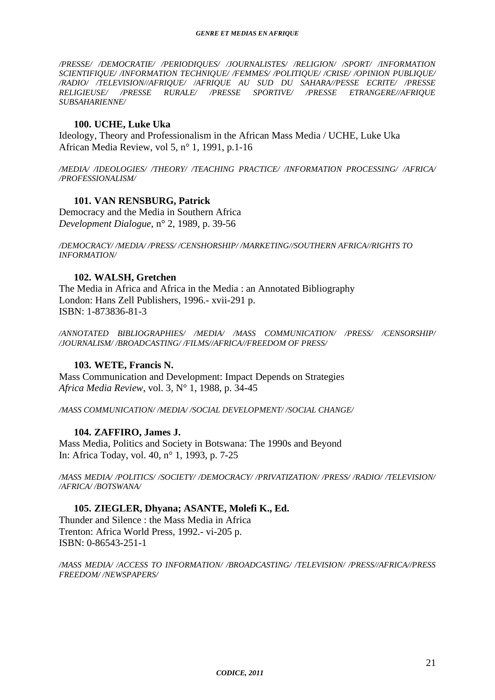*/PRESSE/ /DEMOCRATIE/ /PERIODIQUES/ /JOURNALISTES/ /RELIGION/ /SPORT/ /INFORMATION SCIENTIFIQUE/ /INFORMATION TECHNIQUE/ /FEMMES/ /POLITIQUE/ /CRISE/ /OPINION PUBLIQUE/ /RADIO/ /TELEVISION//AFRIQUE/ /AFRIQUE AU SUD DU SAHARA//PESSE ECRITE/ /PRESSE RELIGIEUSE/ /PRESSE RURALE/ /PRESSE SPORTIVE/ /PRESSE ETRANGERE//AFRIQUE SUBSAHARIENNE/*

#### **100. UCHE, Luke Uka**

Ideology, Theory and Professionalism in the African Mass Media / UCHE, Luke Uka African Media Review, vol 5, n° 1, 1991, p.1-16

*/MEDIA/ /IDEOLOGIES/ /THEORY/ /TEACHING PRACTICE/ /INFORMATION PROCESSING/ /AFRICA/ /PROFESSIONALISM/*

#### **101. VAN RENSBURG, Patrick**

Democracy and the Media in Southern Africa *Development Dialogue*, n° 2, 1989, p. 39-56

*/DEMOCRACY/ /MEDIA/ /PRESS/ /CENSHORSHIP/ /MARKETING//SOUTHERN AFRICA//RIGHTS TO INFORMATION/*

#### **102. WALSH, Gretchen**

The Media in Africa and Africa in the Media : an Annotated Bibliography London: Hans Zell Publishers, 1996.- xvii-291 p. ISBN: 1-873836-81-3

*/ANNOTATED BIBLIOGRAPHIES/ /MEDIA/ /MASS COMMUNICATION/ /PRESS/ /CENSORSHIP/ /JOURNALISM/ /BROADCASTING/ /FILMS//AFRICA//FREEDOM OF PRESS/*

#### **103. WETE, Francis N.**

Mass Communication and Development: Impact Depends on Strategies *Africa Media Review*, vol. 3, N° 1, 1988, p. 34-45

*/MASS COMMUNICATION/ /MEDIA/ /SOCIAL DEVELOPMENT/ /SOCIAL CHANGE/*

#### **104. ZAFFIRO, James J.**

Mass Media, Politics and Society in Botswana: The 1990s and Beyond In: Africa Today, vol. 40, n° 1, 1993, p. 7-25

*/MASS MEDIA/ /POLITICS/ /SOCIETY/ /DEMOCRACY/ /PRIVATIZATION/ /PRESS/ /RADIO/ /TELEVISION/ /AFRICA/ /BOTSWANA/*

#### **105. ZIEGLER, Dhyana; ASANTE, Molefi K., Ed.**

Thunder and Silence : the Mass Media in Africa Trenton: Africa World Press, 1992.- vi-205 p. ISBN: 0-86543-251-1

*/MASS MEDIA/ /ACCESS TO INFORMATION/ /BROADCASTING/ /TELEVISION/ /PRESS//AFRICA//PRESS FREEDOM/ /NEWSPAPERS/*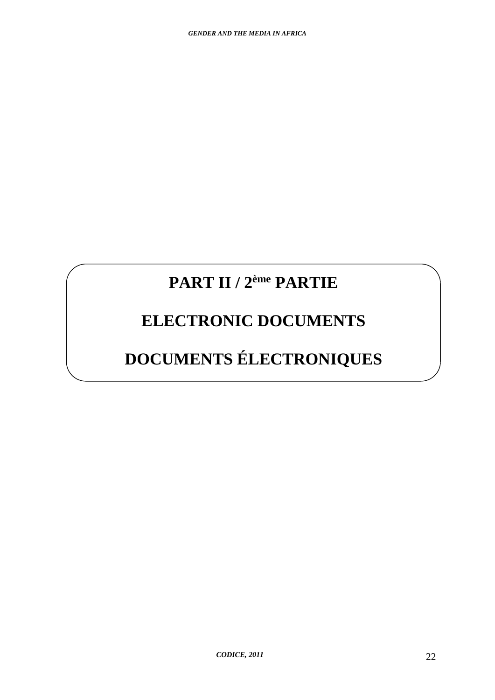# **PART II / 2ème PARTIE**

# **ELECTRONIC DOCUMENTS**

# **DOCUMENTS ÉLECTRONIQUES**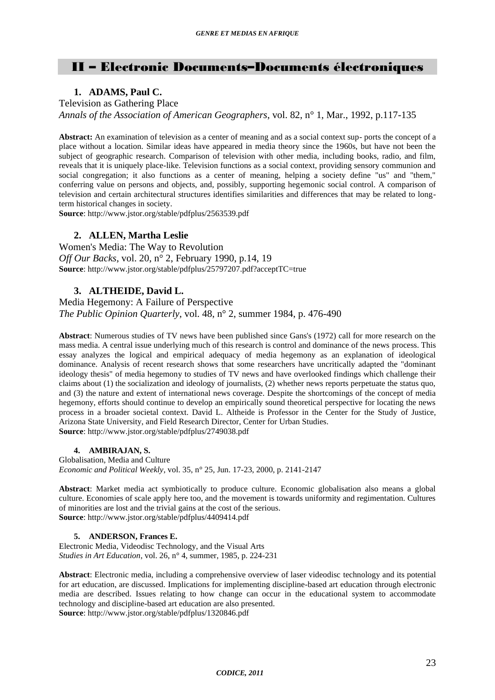## <span id="page-21-0"></span>II – Electronic Documents–Documents électroniques

## **1. ADAMS, Paul C.**

Television as Gathering Place *Annals of the Association of American Geographers*, vol. 82, n° 1, Mar., 1992, p.117-135

**Abstract:** An examination of television as a center of meaning and as a social context sup- ports the concept of a place without a location. Similar ideas have appeared in media theory since the 1960s, but have not been the subject of geographic research. Comparison of television with other media, including books, radio, and film, reveals that it is uniquely place-like. Television functions as a social context, providing sensory communion and social congregation; it also functions as a center of meaning, helping a society define "us" and "them," conferring value on persons and objects, and, possibly, supporting hegemonic social control. A comparison of television and certain architectural structures identifies similarities and differences that may be related to longterm historical changes in society.

**Source**: http://www.jstor.org/stable/pdfplus/2563539.pdf

### **2. ALLEN, Martha Leslie**

Women's Media: The Way to Revolution *Off Our Backs*, vol. 20, n° 2, February 1990, p.14, 19 **Source**: http://www.jstor.org/stable/pdfplus/25797207.pdf?acceptTC=true

### **3. ALTHEIDE, David L.**

Media Hegemony: A Failure of Perspective *The Public Opinion Quarterly*, vol. 48, n° 2, summer 1984, p. 476-490

**Abstract**: Numerous studies of TV news have been published since Gans's (1972) call for more research on the mass media. A central issue underlying much of this research is control and dominance of the news process. This essay analyzes the logical and empirical adequacy of media hegemony as an explanation of ideological dominance. Analysis of recent research shows that some researchers have uncritically adapted the "dominant ideology thesis" of media hegemony to studies of TV news and have overlooked findings which challenge their claims about (1) the socialization and ideology of journalists, (2) whether news reports perpetuate the status quo, and (3) the nature and extent of international news coverage. Despite the shortcomings of the concept of media hegemony, efforts should continue to develop an empirically sound theoretical perspective for locating the news process in a broader societal context. David L. Altheide is Professor in the Center for the Study of Justice, Arizona State University, and Field Research Director, Center for Urban Studies. **Source**: http://www.jstor.org/stable/pdfplus/2749038.pdf

#### **4. AMBIRAJAN, S.**

Globalisation, Media and Culture *Economic and Political Weekly*, vol. 35, n° 25, Jun. 17-23, 2000, p. 2141-2147

**Abstract**: Market media act symbiotically to produce culture. Economic globalisation also means a global culture. Economies of scale apply here too, and the movement is towards uniformity and regimentation. Cultures of minorities are lost and the trivial gains at the cost of the serious. **Source**: http://www.jstor.org/stable/pdfplus/4409414.pdf

#### **5. ANDERSON, Frances E.**

Electronic Media, Videodisc Technology, and the Visual Arts *Studies in Art Education*, vol. 26, n° 4, summer, 1985, p. 224-231

**Abstract**: Electronic media, including a comprehensive overview of laser videodisc technology and its potential for art education, are discussed. Implications for implementing discipline-based art education through electronic media are described. Issues relating to how change can occur in the educational system to accommodate technology and discipline-based art education are also presented.

**Source**: http://www.jstor.org/stable/pdfplus/1320846.pdf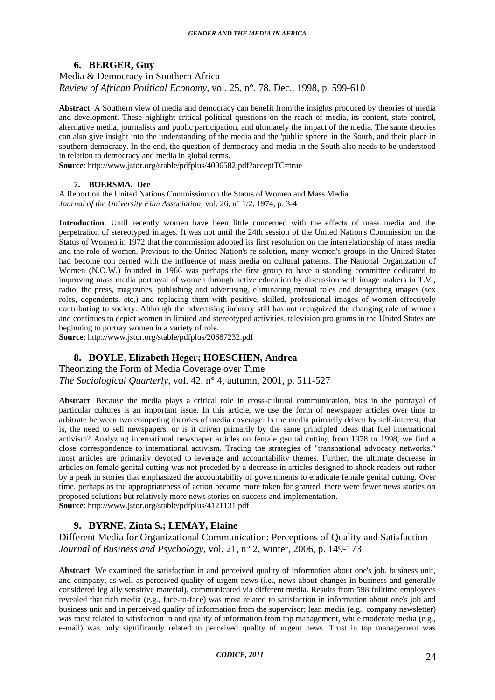#### **6. BERGER, Guy**

Media & Democracy in Southern Africa *Review of African Political Economy*, vol. 25, n°. 78, Dec., 1998, p. 599-610

**Abstract**: A Southern view of media and democracy can benefit from the insights produced by theories of media and development. These highlight critical political questions on the reach of media, its content, state control, alternative media, journalists and public participation, and ultimately the impact of the media. The same theories can also give insight into the understanding of the media and the 'public sphere' in the South, and their place in southern democracy. In the end, the question of democracy and media in the South also needs to be understood in relation to democracy and media in global terms.

**Source**: http://www.jstor.org/stable/pdfplus/4006582.pdf?acceptTC=true

#### **7. BOERSMA, Dee**

A Report on the United Nations Commission on the Status of Women and Mass Media *Journal of the University Film Association*, vol. 26, n° 1/2, 1974, p. 3-4

**Introduction**: Until recently women have been little concerned with the effects of mass media and the perpetration of stereotyped images. It was not until the 24th session of the United Nation's Commission on the Status of Women in 1972 that the commission adopted its first resolution on the interrelationship of mass media and the role of women. Previous to the United Nation's re solution, many women's groups in the United States had become con cerned with the influence of mass media on cultural patterns. The National Organization of Women (N.O.W.) founded in 1966 was perhaps the first group to have a standing committee dedicated to improving mass media portrayal of women through active education by discussion with image makers in T.V., radio, the press, magazines, publishing and advertising, eliminating menial roles and denigrating images (sex roles, dependents, etc,) and replacing them with positive, skilled, professional images of women effectively contributing to society. Although the advertising industry still has not recognized the changing role of women and continues to depict women in limited and stereotyped activities, television pro grams in the United States are beginning to portray women in a variety of role.

**Source**: http://www.jstor.org/stable/pdfplus/20687232.pdf

#### **8. BOYLE, Elizabeth Heger; HOESCHEN, Andrea**

Theorizing the Form of Media Coverage over Time *The Sociological Quarterly*, vol. 42, n° 4, autumn, 2001, p. 511-527

**Abstract**: Because the media plays a critical role in cross-cultural communication, bias in the portrayal of particular cultures is an important issue. In this article, we use the form of newspaper articles over time to arbitrate between two competing theories of media coverage: Is the media primarily driven by self-interest, that is, the need to sell newspapers, or is it driven primarily by the same principled ideas that fuel international activism? Analyzing international newspaper articles on female genital cutting from 1978 to 1998, we find a close correspondence to international activism. Tracing the strategies of "transnational advocacy networks." most articles are primarily devoted to leverage and accountability themes. Further, the ultimate decrease in articles on female genital cutting was not preceded by a decrease in articles designed to shock readers but rather by a peak in stories that emphasized the accountability of governments to eradicate female genital cutting. Over time. perhaps as the appropriateness of action became more taken for granted, there were fewer news stories on proposed solutions but relatively more news stories on success and implementation. **Source**: http://www.jstor.org/stable/pdfplus/4121131.pdf

#### **9. BYRNE, Zinta S.; LEMAY, Elaine**

Different Media for Organizational Communication: Perceptions of Quality and Satisfaction *Journal of Business and Psychology*, vol. 21, n° 2, winter, 2006, p. 149-173

**Abstract**: We examined the satisfaction in and perceived quality of information about one's job, business unit, and company, as well as perceived quality of urgent news (i.e., news about changes in business and generally considered leg ally sensitive material), communicated via different media. Results from 598 fulltime employees revealed that rich media (e.g., face-to-face) was most related to satisfaction in information about one's job and business unit and in perceived quality of information from the supervisor; lean media (e.g., company newsletter) was most related to satisfaction in and quality of information from top management, while moderate media (e.g., e-mail) was only significantly related to perceived quality of urgent news. Trust in top management was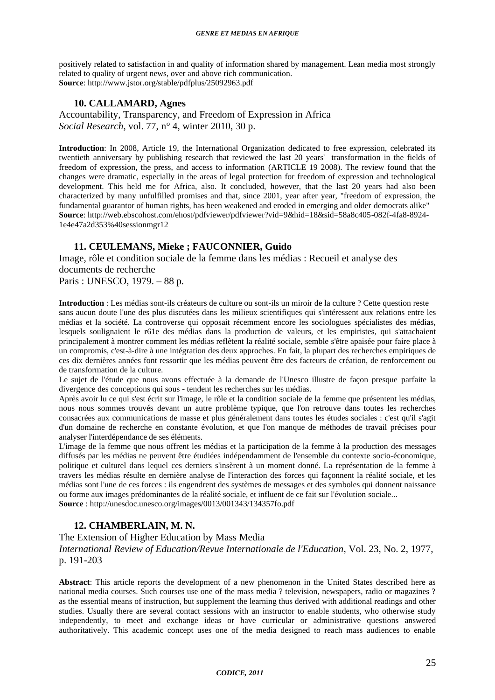positively related to satisfaction in and quality of information shared by management. Lean media most strongly related to quality of urgent news, over and above rich communication. **Source**: http://www.jstor.org/stable/pdfplus/25092963.pdf

#### **10. CALLAMARD, Agnes**

Accountability, Transparency, and Freedom of Expression in Africa *Social Research*, vol. 77, n° 4, winter 2010, 30 p.

**Introduction**: In 2008, Article 19, the International Organization dedicated to free expression, celebrated its twentieth anniversary by publishing research that reviewed the last 20 years' transformation in the fields of freedom of expression, the press, and access to information (ARTICLE 19 2008). The review found that the changes were dramatic, especially in the areas of legal protection for freedom of expression and technological development. This held me for Africa, also. It concluded, however, that the last 20 years had also been characterized by many unfulfilled promises and that, since 2001, year after year, "freedom of expression, the fundamental guarantor of human rights, has been weakened and eroded in emerging and older democrats alike" **Source**: http://web.ebscohost.com/ehost/pdfviewer/pdfviewer?vid=9&hid=18&sid=58a8c405-082f-4fa8-8924- 1e4e47a2d353%40sessionmgr12

#### **11. CEULEMANS, Mieke ; FAUCONNIER, Guido**

Image, rôle et condition sociale de la femme dans les médias : Recueil et analyse des documents de recherche Paris : UNESCO, 1979. – 88 p.

**Introduction** : Les médias sont-ils créateurs de culture ou sont-ils un miroir de la culture ? Cette question reste sans aucun doute l'une des plus discutées dans les milieux scientifiques qui s'intéressent aux relations entre les médias et la société. La controverse qui opposait récemment encore les sociologues spécialistes des médias, lesquels soulignaient le r61e des médias dans la production de valeurs, et les empiristes, qui s'attachaient principalement à montrer comment les médias reflètent la réalité sociale, semble s'être apaisée pour faire place à un compromis, c'est-à-dire à une intégration des deux approches. En fait, la plupart des recherches empiriques de ces dix dernières années font ressortir que les médias peuvent être des facteurs de création, de renforcement ou de transformation de la culture.

Le sujet de l'étude que nous avons effectuée à la demande de l'Unesco illustre de façon presque parfaite la divergence des conceptions qui sous - tendent les recherches sur les médias.

Après avoir lu ce qui s'est écrit sur l'image, le rôle et la condition sociale de la femme que présentent les médias, nous nous sommes trouvés devant un autre problème typique, que l'on retrouve dans toutes les recherches consacrées aux communications de masse et plus généralement dans toutes les études sociales : c'est qu'il s'agit d'un domaine de recherche en constante évolution, et que l'on manque de méthodes de travail précises pour analyser l'interdépendance de ses éléments.

L'image de la femme que nous offrent les médias et la participation de la femme à la production des messages diffusés par les médias ne peuvent être étudiées indépendamment de l'ensemble du contexte socio-économique, politique et culturel dans lequel ces derniers s'insèrent à un moment donné. La représentation de la femme à travers les médias résulte en dernière analyse de l'interaction des forces qui façonnent la réalité sociale, et les médias sont l'une de ces forces : ils engendrent des systèmes de messages et des symboles qui donnent naissance ou forme aux images prédominantes de la réalité sociale, et influent de ce fait sur l'évolution sociale... **Source** : http://unesdoc.unesco.org/images/0013/001343/134357fo.pdf

#### **12. CHAMBERLAIN, M. N.**

#### The Extension of Higher Education by Mass Media *International Review of Education/Revue Internationale de l'Education*, Vol. 23, No. 2, 1977, p. 191-203

**Abstract**: This article reports the development of a new phenomenon in the United States described here as national media courses. Such courses use one of the mass media ? television, newspapers, radio or magazines ? as the essential means of instruction, but supplement the learning thus derived with additional readings and other studies. Usually there are several contact sessions with an instructor to enable students, who otherwise study independently, to meet and exchange ideas or have curricular or administrative questions answered authoritatively. This academic concept uses one of the media designed to reach mass audiences to enable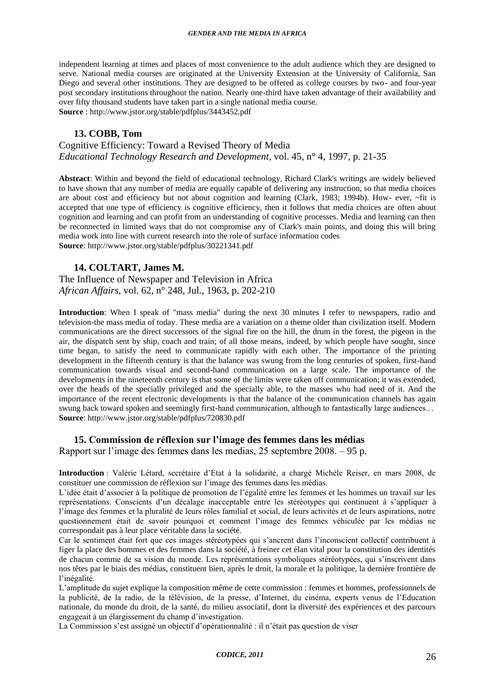independent learning at times and places of most convenience to the adult audience which they are designed to serve. National media courses are originated at the University Extension at the University of California, San Diego and several other institutions. They are designed to be offered as college courses by two- and four-year post secondary institutions throughout the nation. Nearly one-third have taken advantage of their availability and over fifty thousand students have taken part in a single national media course. **Source** : http://www.jstor.org/stable/pdfplus/3443452.pdf

#### **13. COBB, Tom**

Cognitive Efficiency: Toward a Revised Theory of Media *Educational Technology Research and Development*, vol. 45, n° 4, 1997, p. 21-35

**Abstract**: Within and beyond the field of educational technology, Richard Clark's writings are widely believed to have shown that any number of media are equally capable of delivering any instruction, so that media choices are about cost and efficiency but not about cognition and learning (Clark, 1983; 1994b). How- ever, ~fit is accepted that one type of efficiency is cognitive efficiency, then it follows that media choices are often about cognition and learning and can profit from an understanding of cognitive processes. Media and learning can then be reconnected in limited ways that do not compromise any of Clark's main points, and doing this will bring media work into line with current research into the role of surface information codes **Source**: http://www.jstor.org/stable/pdfplus/30221341.pdf

#### **14. COLTART, James M.**

The Influence of Newspaper and Television in Africa *African Affairs*, vol. 62, n° 248, Jul., 1963, p. 202-210

**Introduction**: When I speak of "mass media" during the next 30 minutes I refer to newspapers, radio and television-the mass media of today. These media are a variation on a theme older than civilization itself. Modern communications are the direct successors of the signal fire on the hill, the drum in the forest, the pigeon in the air, the dispatch sent by ship, coach and train; of all those means, indeed, by which people have sought, since time began, to satisfy the need to communicate rapidly with each other. The importance of the printing development in the fifteenth century is that the balance was swung from the long centuries of spoken, first-hand communication towards visual and second-hand communication on a large scale. The importance of the developments in the nineteenth century is that some of the limits were taken off communication; it was extended, over the heads of the specially privileged and the specially able, to the masses who had need of it. And the importance of the recent electronic developments is that the balance of the communication channels has again swung back toward spoken and seemingly first-hand communication, although to fantastically large audiences… **Source**: http://www.jstor.org/stable/pdfplus/720830.pdf

#### **15. Commission de réflexion sur l'image des femmes dans les médias**

Rapport sur l'image des femmes dans les medias, 25 septembre 2008. – 95 p.

**Introduction** : Valérie Létard, secrétaire d'Etat à la solidarité, a chargé Michèle Reiser, en mars 2008, de constituer une commission de réflexion sur l'image des femmes dans les médias.

L'idée était d'associer à la politique de promotion de l'égalité entre les femmes et les hommes un travail sur les représentations. Conscients d'un décalage inacceptable entre les stéréotypes qui continuent à s'appliquer à l'image des femmes et la pluralité de leurs rôles familial et social, de leurs activités et de leurs aspirations, notre questionnement était de savoir pourquoi et comment l'image des femmes véhiculée par les médias ne correspondait pas à leur place véritable dans la société.

Car le sentiment était fort que ces images stéréotypées qui s'ancrent dans l'inconscient collectif contribuent à figer la place des hommes et des femmes dans la société, à freiner cet élan vital pour la constitution des identités de chacun comme de sa vision du monde. Les représentations symboliques stéréotypées, qui s'inscrivent dans nos têtes par le biais des médias, constituent bien, après le droit, la morale et la politique, la dernière frontière de l'inégalité.

L'amplitude du sujet explique la composition même de cette commission : femmes et hommes, professionnels de la publicité, de la radio, de la télévision, de la presse, d'Internet, du cinéma, experts venus de l'Education nationale, du monde du droit, de la santé, du milieu associatif, dont la diversité des expériences et des parcours engageait à un élargissement du champ d'investigation.

La Commission s'est assigné un objectif d'opérationnalité : il n'était pas question de viser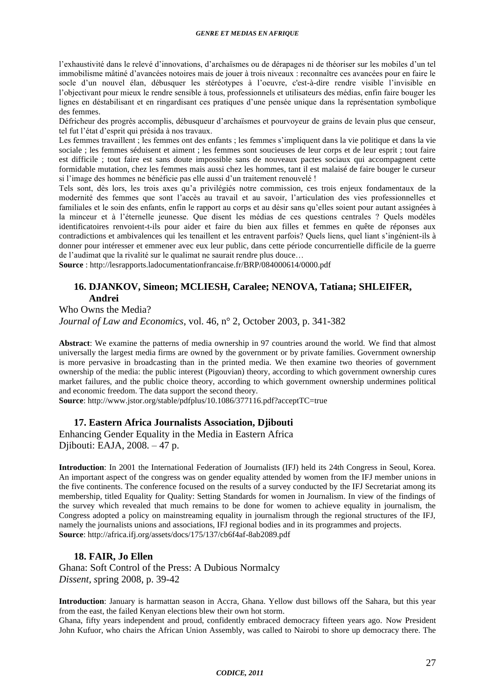#### *GENRE ET MEDIAS EN AFRIQUE*

l'exhaustivité dans le relevé d'innovations, d'archaïsmes ou de dérapages ni de théoriser sur les mobiles d'un tel immobilisme mâtiné d'avancées notoires mais de jouer à trois niveaux : reconnaître ces avancées pour en faire le socle d'un nouvel élan, débusquer les stéréotypes à l'oeuvre, c'est-à-dire rendre visible l'invisible en l'objectivant pour mieux le rendre sensible à tous, professionnels et utilisateurs des médias, enfin faire bouger les lignes en déstabilisant et en ringardisant ces pratiques d'une pensée unique dans la représentation symbolique des femmes.

Défricheur des progrès accomplis, débusqueur d'archaïsmes et pourvoyeur de grains de levain plus que censeur, tel fut l'état d'esprit qui présida à nos travaux.

Les femmes travaillent ; les femmes ont des enfants ; les femmes s'impliquent dans la vie politique et dans la vie sociale ; les femmes séduisent et aiment ; les femmes sont soucieuses de leur corps et de leur esprit ; tout faire est difficile ; tout faire est sans doute impossible sans de nouveaux pactes sociaux qui accompagnent cette formidable mutation, chez les femmes mais aussi chez les hommes, tant il est malaisé de faire bouger le curseur si l'image des hommes ne bénéficie pas elle aussi d'un traitement renouvelé !

Tels sont, dès lors, les trois axes qu'a privilégiés notre commission, ces trois enjeux fondamentaux de la modernité des femmes que sont l'accès au travail et au savoir, l'articulation des vies professionnelles et familiales et le soin des enfants, enfin le rapport au corps et au désir sans qu'elles soient pour autant assignées à la minceur et à l'éternelle jeunesse. Que disent les médias de ces questions centrales ? Quels modèles identificatoires renvoient-t-ils pour aider et faire du bien aux filles et femmes en quête de réponses aux contradictions et ambivalences qui les tenaillent et les entravent parfois? Quels liens, quel liant s'ingénient-ils à donner pour intéresser et emmener avec eux leur public, dans cette période concurrentielle difficile de la guerre de l'audimat que la rivalité sur le qualimat ne saurait rendre plus douce…

**Source** : http://lesrapports.ladocumentationfrancaise.fr/BRP/084000614/0000.pdf

#### **16. DJANKOV, Simeon; MCLIESH, Caralee; NENOVA, Tatiana; SHLEIFER, Andrei**

Who Owns the Media?

*Journal of Law and Economics*, vol. 46, n° 2, October 2003, p. 341-382

**Abstract**: We examine the patterns of media ownership in 97 countries around the world. We find that almost universally the largest media firms are owned by the government or by private families. Government ownership is more pervasive in broadcasting than in the printed media. We then examine two theories of government ownership of the media: the public interest (Pigouvian) theory, according to which government ownership cures market failures, and the public choice theory, according to which government ownership undermines political and economic freedom. The data support the second theory.

**Source**: http://www.jstor.org/stable/pdfplus/10.1086/377116.pdf?acceptTC=true

#### **17. Eastern Africa Journalists Association, Djibouti**

Enhancing Gender Equality in the Media in Eastern Africa Djibouti: EAJA, 2008. – 47 p.

**Introduction**: In 2001 the International Federation of Journalists (IFJ) held its 24th Congress in Seoul, Korea. An important aspect of the congress was on gender equality attended by women from the IFJ member unions in the five continents. The conference focused on the results of a survey conducted by the IFJ Secretariat among its membership, titled Equality for Quality: Setting Standards for women in Journalism. In view of the findings of the survey which revealed that much remains to be done for women to achieve equality in journalism, the Congress adopted a policy on mainstreaming equality in journalism through the regional structures of the IFJ, namely the journalists unions and associations, IFJ regional bodies and in its programmes and projects. **Source**: http://africa.ifj.org/assets/docs/175/137/cb6f4af-8ab2089.pdf

#### **18. FAIR, Jo Ellen**

Ghana: Soft Control of the Press: A Dubious Normalcy *Dissent, s*pring 2008, p. 39-42

**Introduction**: January is harmattan season in Accra, Ghana. Yellow dust billows off the Sahara, but this year from the east, the failed Kenyan elections blew their own hot storm.

Ghana, fifty years independent and proud, confidently embraced democracy fifteen years ago. Now President John Kufuor, who chairs the African Union Assembly, was called to Nairobi to shore up democracy there. The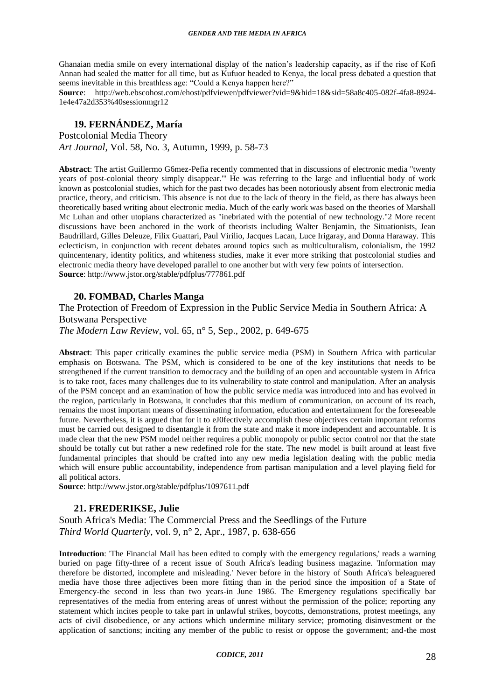Ghanaian media smile on every international display of the nation's leadership capacity, as if the rise of Kofi Annan had sealed the matter for all time, but as Kufuor headed to Kenya, the local press debated a question that seems inevitable in this breathless age: "Could a Kenya happen here?"

**Source**: http://web.ebscohost.com/ehost/pdfviewer/pdfviewer?vid=9&hid=18&sid=58a8c405-082f-4fa8-8924- 1e4e47a2d353%40sessionmgr12

#### **19. FERNÁNDEZ, María**

Postcolonial Media Theory *Art Journal*, Vol. 58, No. 3, Autumn, 1999, p. 58-73

**Abstract**: The artist Guillermo G6mez-Pefia recently commented that in discussions of electronic media "twenty years of post-colonial theory simply disappear."' He was referring to the large and influential body of work known as postcolonial studies, which for the past two decades has been notoriously absent from electronic media practice, theory, and criticism. This absence is not due to the lack of theory in the field, as there has always been theoretically based writing about electronic media. Much of the early work was based on the theories of Marshall Mc Luhan and other utopians characterized as "inebriated with the potential of new technology."2 More recent discussions have been anchored in the work of theorists including Walter Benjamin, the Situationists, Jean Baudrillard, Gilles Deleuze, Filix Guattari, Paul Virilio, Jacques Lacan, Luce Irigaray, and Donna Haraway. This eclecticism, in conjunction with recent debates around topics such as multiculturalism, colonialism, the 1992 quincentenary, identity politics, and whiteness studies, make it ever more striking that postcolonial studies and electronic media theory have developed parallel to one another but with very few points of intersection. **Source**: http://www.jstor.org/stable/pdfplus/777861.pdf

#### **20. FOMBAD, Charles Manga**

The Protection of Freedom of Expression in the Public Service Media in Southern Africa: A Botswana Perspective

*The Modern Law Review*, vol. 65, n° 5, Sep., 2002, p. 649-675

**Abstract**: This paper critically examines the public service media (PSM) in Southern Africa with particular emphasis on Botswana. The PSM, which is considered to be one of the key institutions that needs to be strengthened if the current transition to democracy and the building of an open and accountable system in Africa is to take root, faces many challenges due to its vulnerability to state control and manipulation. After an analysis of the PSM concept and an examination of how the public service media was introduced into and has evolved in the region, particularly in Botswana, it concludes that this medium of communication, on account of its reach, remains the most important means of disseminating information, education and entertainment for the foreseeable future. Nevertheless, it is argued that for it to eJ0fectively accomplish these objectives certain important reforms must be carried out designed to disentangle it from the state and make it more independent and accountable. It is made clear that the new PSM model neither requires a public monopoly or public sector control nor that the state should be totally cut but rather a new redefined role for the state. The new model is built around at least five fundamental principles that should be crafted into any new media legislation dealing with the public media which will ensure public accountability, independence from partisan manipulation and a level playing field for all political actors.

**Source**: http://www.jstor.org/stable/pdfplus/1097611.pdf

#### **21. FREDERIKSE, Julie**

South Africa's Media: The Commercial Press and the Seedlings of the Future *Third World Quarterly*, vol. 9, n° 2, Apr., 1987, p. 638-656

**Introduction**: 'The Financial Mail has been edited to comply with the emergency regulations,' reads a warning buried on page fifty-three of a recent issue of South Africa's leading business magazine. 'Information may therefore be distorted, incomplete and misleading.' Never before in the history of South Africa's beleaguered media have those three adjectives been more fitting than in the period since the imposition of a State of Emergency-the second in less than two years-in June 1986. The Emergency regulations specifically bar representatives of the media from entering areas of unrest without the permission of the police; reporting any statement which incites people to take part in unlawful strikes, boycotts, demonstrations, protest meetings, any acts of civil disobedience, or any actions which undermine military service; promoting disinvestment or the application of sanctions; inciting any member of the public to resist or oppose the government; and-the most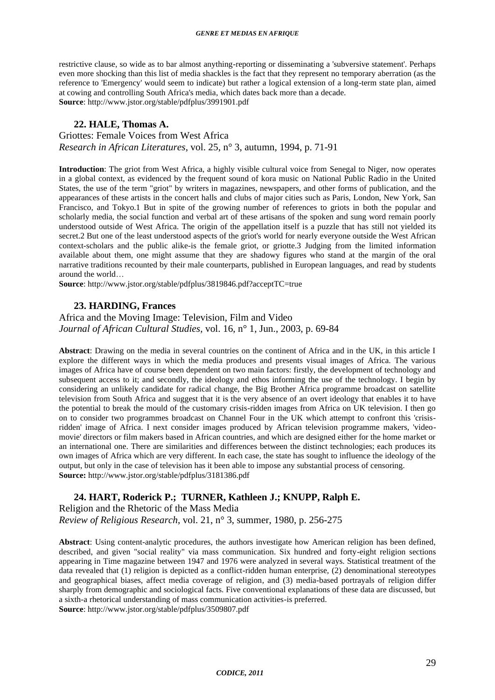restrictive clause, so wide as to bar almost anything-reporting or disseminating a 'subversive statement'. Perhaps even more shocking than this list of media shackles is the fact that they represent no temporary aberration (as the reference to 'Emergency' would seem to indicate) but rather a logical extension of a long-term state plan, aimed at cowing and controlling South Africa's media, which dates back more than a decade. **Source**: http://www.jstor.org/stable/pdfplus/3991901.pdf

#### **22. HALE, Thomas A.**

Griottes: Female Voices from West Africa *Research in African Literatures*, vol. 25, n° 3, autumn, 1994, p. 71-91

**Introduction**: The griot from West Africa, a highly visible cultural voice from Senegal to Niger, now operates in a global context, as evidenced by the frequent sound of kora music on National Public Radio in the United States, the use of the term "griot" by writers in magazines, newspapers, and other forms of publication, and the appearances of these artists in the concert halls and clubs of major cities such as Paris, London, New York, San Francisco, and Tokyo.1 But in spite of the growing number of references to griots in both the popular and scholarly media, the social function and verbal art of these artisans of the spoken and sung word remain poorly understood outside of West Africa. The origin of the appellation itself is a puzzle that has still not yielded its secret.2 But one of the least understood aspects of the griot's world for nearly everyone outside the West African context-scholars and the public alike-is the female griot, or griotte.3 Judging from the limited information available about them, one might assume that they are shadowy figures who stand at the margin of the oral narrative traditions recounted by their male counterparts, published in European languages, and read by students around the world…

**Source**: http://www.jstor.org/stable/pdfplus/3819846.pdf?acceptTC=true

#### **23. HARDING, Frances**

Africa and the Moving Image: Television, Film and Video *Journal of African Cultural Studies*, vol. 16, n° 1, Jun., 2003, p. 69-84

**Abstract**: Drawing on the media in several countries on the continent of Africa and in the UK, in this article I explore the different ways in which the media produces and presents visual images of Africa. The various images of Africa have of course been dependent on two main factors: firstly, the development of technology and subsequent access to it; and secondly, the ideology and ethos informing the use of the technology. I begin by considering an unlikely candidate for radical change, the Big Brother Africa programme broadcast on satellite television from South Africa and suggest that it is the very absence of an overt ideology that enables it to have the potential to break the mould of the customary crisis-ridden images from Africa on UK television. I then go on to consider two programmes broadcast on Channel Four in the UK which attempt to confront this 'crisisridden' image of Africa. I next consider images produced by African television programme makers, 'videomovie' directors or film makers based in African countries, and which are designed either for the home market or an international one. There are similarities and differences between the distinct technologies; each produces its own images of Africa which are very different. In each case, the state has sought to influence the ideology of the output, but only in the case of television has it been able to impose any substantial process of censoring. **Source:** http://www.jstor.org/stable/pdfplus/3181386.pdf

**24. HART, Roderick P.; TURNER, Kathleen J.; KNUPP, Ralph E.** Religion and the Rhetoric of the Mass Media *Review of Religious Research*, vol. 21, n° 3, summer, 1980, p. 256-275

**Abstract**: Using content-analytic procedures, the authors investigate how American religion has been defined, described, and given "social reality" via mass communication. Six hundred and forty-eight religion sections appearing in Time magazine between 1947 and 1976 were analyzed in several ways. Statistical treatment of the data revealed that (1) religion is depicted as a conflict-ridden human enterprise, (2) denominational stereotypes and geographical biases, affect media coverage of religion, and (3) media-based portrayals of religion differ sharply from demographic and sociological facts. Five conventional explanations of these data are discussed, but a sixth-a rhetorical understanding of mass communication activities-is preferred.

**Source**: http://www.jstor.org/stable/pdfplus/3509807.pdf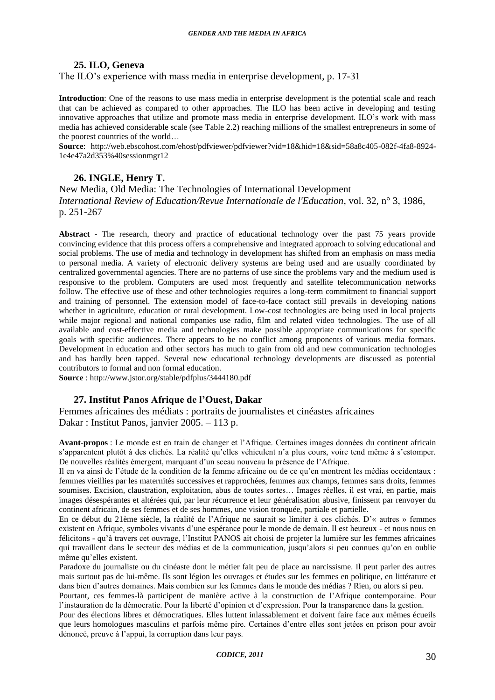#### **25. ILO, Geneva**

The ILO's experience with mass media in enterprise development, p. 17-31

**Introduction**: One of the reasons to use mass media in enterprise development is the potential scale and reach that can be achieved as compared to other approaches. The ILO has been active in developing and testing innovative approaches that utilize and promote mass media in enterprise development. ILO's work with mass media has achieved considerable scale (see Table 2.2) reaching millions of the smallest entrepreneurs in some of the poorest countries of the world…

**Source**: http://web.ebscohost.com/ehost/pdfviewer/pdfviewer?vid=18&hid=18&sid=58a8c405-082f-4fa8-8924- 1e4e47a2d353%40sessionmgr12

#### **26. INGLE, Henry T.**

New Media, Old Media: The Technologies of International Development *International Review of Education/Revue Internationale de l'Education*, vol. 32, n° 3, 1986, p. 251-267

**Abstract** - The research, theory and practice of educational technology over the past 75 years provide convincing evidence that this process offers a comprehensive and integrated approach to solving educational and social problems. The use of media and technology in development has shifted from an emphasis on mass media to personal media. A variety of electronic delivery systems are being used and are usually coordinated by centralized governmental agencies. There are no patterns of use since the problems vary and the medium used is responsive to the problem. Computers are used most frequently and satellite telecommunication networks follow. The effective use of these and other technologies requires a long-term commitment to financial support and training of personnel. The extension model of face-to-face contact still prevails in developing nations whether in agriculture, education or rural development. Low-cost technologies are being used in local projects while major regional and national companies use radio, film and related video technologies. The use of all available and cost-effective media and technologies make possible appropriate communications for specific goals with specific audiences. There appears to be no conflict among proponents of various media formats. Development in education and other sectors has much to gain from old and new communication technologies and has hardly been tapped. Several new educational technology developments are discussed as potential contributors to formal and non formal education.

**Source** : http://www.jstor.org/stable/pdfplus/3444180.pdf

#### **27. Institut Panos Afrique de l'Ouest, Dakar**

Femmes africaines des médiats : portraits de journalistes et cinéastes africaines Dakar : Institut Panos, janvier 2005. – 113 p.

**Avant-propos** : Le monde est en train de changer et l'Afrique. Certaines images données du continent africain s'apparentent plutôt à des clichés. La réalité qu'elles véhiculent n'a plus cours, voire tend même à s'estomper. De nouvelles réalités émergent, marquant d'un sceau nouveau la présence de l'Afrique.

Il en va ainsi de l'étude de la condition de la femme africaine ou de ce qu'en montrent les médias occidentaux : femmes vieillies par les maternités successives et rapprochées, femmes aux champs, femmes sans droits, femmes soumises. Excision, claustration, exploitation, abus de toutes sortes… Images réelles, il est vrai, en partie, mais images désespérantes et altérées qui, par leur récurrence et leur généralisation abusive, finissent par renvoyer du continent africain, de ses femmes et de ses hommes, une vision tronquée, partiale et partielle.

En ce début du 21ème siècle, la réalité de l'Afrique ne saurait se limiter à ces clichés. D'« autres » femmes existent en Afrique, symboles vivants d'une espérance pour le monde de demain. Il est heureux - et nous nous en félicitons - qu'à travers cet ouvrage, l'Institut PANOS ait choisi de projeter la lumière sur les femmes africaines qui travaillent dans le secteur des médias et de la communication, jusqu'alors si peu connues qu'on en oublie même qu'elles existent.

Paradoxe du journaliste ou du cinéaste dont le métier fait peu de place au narcissisme. Il peut parler des autres mais surtout pas de lui-même. Ils sont légion les ouvrages et études sur les femmes en politique, en littérature et dans bien d'autres domaines. Mais combien sur les femmes dans le monde des médias ? Rien, ou alors si peu.

Pourtant, ces femmes-là participent de manière active à la construction de l'Afrique contemporaine. Pour l'instauration de la démocratie. Pour la liberté d'opinion et d'expression. Pour la transparence dans la gestion.

Pour des élections libres et démocratiques. Elles luttent inlassablement et doivent faire face aux mêmes écueils que leurs homologues masculins et parfois même pire. Certaines d'entre elles sont jetées en prison pour avoir dénoncé, preuve à l'appui, la corruption dans leur pays.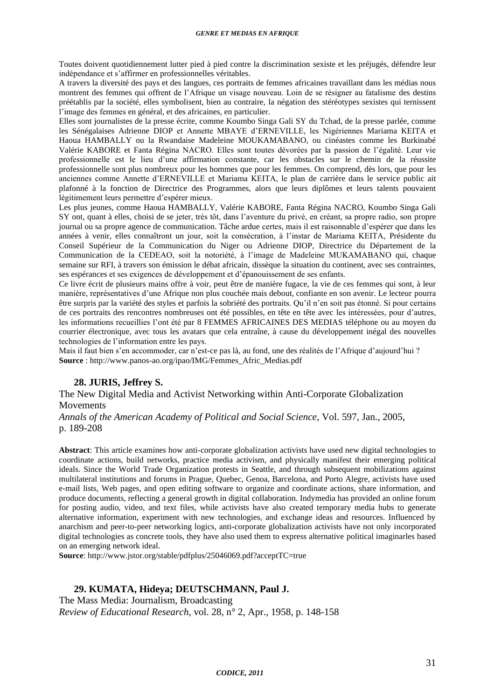Toutes doivent quotidiennement lutter pied à pied contre la discrimination sexiste et les préjugés, défendre leur indépendance et s'affirmer en professionnelles véritables.

A travers la diversité des pays et des langues, ces portraits de femmes africaines travaillant dans les médias nous montrent des femmes qui offrent de l'Afrique un visage nouveau. Loin de se résigner au fatalisme des destins préétablis par la société, elles symbolisent, bien au contraire, la négation des stéréotypes sexistes qui ternissent l'image des femmes en général, et des africaines, en particulier.

Elles sont journalistes de la presse écrite, comme Koumbo Singa Gali SY du Tchad, de la presse parlée, comme les Sénégalaises Adrienne DIOP et Annette MBAYE d'ERNEVILLE, les Nigériennes Mariama KEITA et Haoua HAMBALLY ou la Rwandaise Madeleine MOUKAMABANO, ou cinéastes comme les Burkinabé Valérie KABORE et Fanta Régina NACRO. Elles sont toutes dévorées par la passion de l'égalité. Leur vie professionnelle est le lieu d'une affirmation constante, car les obstacles sur le chemin de la réussite professionnelle sont plus nombreux pour les hommes que pour les femmes. On comprend, dès lors, que pour les anciennes comme Annette d'ERNEVILLE et Mariama KEITA, le plan de carrière dans le service public ait plafonné à la fonction de Directrice des Programmes, alors que leurs diplômes et leurs talents pouvaient légitimement leurs permettre d'espérer mieux.

Les plus jeunes, comme Haoua HAMBALLY, Valérie KABORE, Fanta Régina NACRO, Koumbo Singa Gali SY ont, quant à elles, choisi de se jeter, très tôt, dans l'aventure du privé, en créant, sa propre radio, son propre journal ou sa propre agence de communication. Tâche ardue certes, mais il est raisonnable d'espérer que dans les années à venir, elles connaîtront un jour, soit la consécration, à l'instar de Mariama KEITA, Présidente du Conseil Supérieur de la Communication du Niger ou Adrienne DIOP, Directrice du Département de la Communication de la CEDEAO, soit la notoriété, à l'image de Madeleine MUKAMABANO qui, chaque semaine sur RFI, à travers son émission le débat africain, dissèque la situation du continent, avec ses contraintes, ses espérances et ses exigences de développement et d'épanouissement de ses enfants.

Ce livre écrit de plusieurs mains offre à voir, peut être de manière fugace, la vie de ces femmes qui sont, à leur manière, représentatives d'une Afrique non plus couchée mais debout, confiante en son avenir. Le lecteur pourra être surpris par la variété des styles et parfois la sobriété des portraits. Qu'il n'en soit pas étonné. Si pour certains de ces portraits des rencontres nombreuses ont été possibles, en tête en tête avec les intéressées, pour d'autres, les informations recueillies l'ont été par 8 FEMMES AFRICAINES DES MEDIAS téléphone ou au moyen du courrier électronique, avec tous les avatars que cela entraîne, à cause du développement inégal des nouvelles technologies de l'information entre les pays.

Mais il faut bien s'en accommoder, car n'est-ce pas là, au fond, une des réalités de l'Afrique d'aujourd'hui ? **Source** : http://www.panos-ao.org/ipao/IMG/Femmes\_Afric\_Medias.pdf

#### **28. JURIS, Jeffrey S.**

The New Digital Media and Activist Networking within Anti-Corporate Globalization Movements

*Annals of the American Academy of Political and Social Science*, Vol. 597, Jan., 2005, p. 189-208

**Abstract**: This article examines how anti-corporate globalization activists have used new digital technologies to coordinate actions, build networks, practice media activism, and physically manifest their emerging political ideals. Since the World Trade Organization protests in Seattle, and through subsequent mobilizations against multilateral institutions and forums in Prague, Quebec, Genoa, Barcelona, and Porto Alegre, activists have used e-mail lists, Web pages, and open editing software to organize and coordinate actions, share information, and produce documents, reflecting a general growth in digital collaboration. Indymedia has provided an online forum for posting audio, video, and text files, while activists have also created temporary media hubs to generate alternative information, experiment with new technologies, and exchange ideas and resources. Influenced by anarchism and peer-to-peer networking logics, anti-corporate globalization activists have not only incorporated digital technologies as concrete tools, they have also used them to express alternative political imaginarles based on an emerging network ideal.

**Source**: http://www.jstor.org/stable/pdfplus/25046069.pdf?acceptTC=true

## **29. KUMATA, Hideya; DEUTSCHMANN, Paul J.**

The Mass Media: Journalism, Broadcasting *Review of Educational Research*, vol. 28, n° 2, Apr., 1958, p. 148-158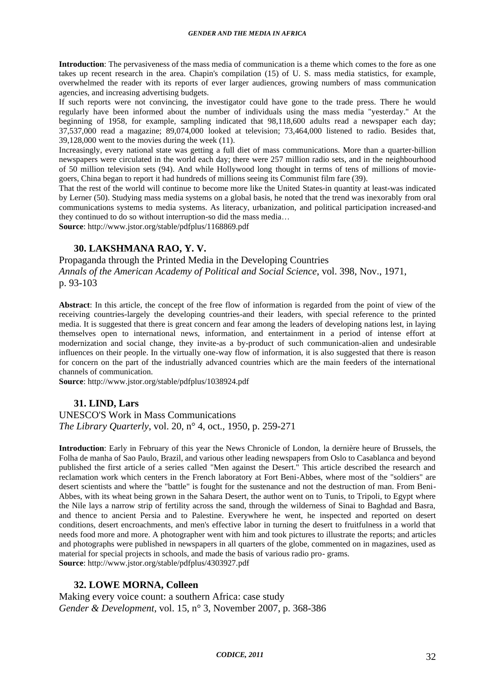**Introduction**: The pervasiveness of the mass media of communication is a theme which comes to the fore as one takes up recent research in the area. Chapin's compilation (15) of U. S. mass media statistics, for example, overwhelmed the reader with its reports of ever larger audiences, growing numbers of mass communication agencies, and increasing advertising budgets.

If such reports were not convincing, the investigator could have gone to the trade press. There he would regularly have been informed about the number of individuals using the mass media "yesterday." At the beginning of 1958, for example, sampling indicated that 98,118,600 adults read a newspaper each day; 37,537,000 read a magazine; 89,074,000 looked at television; 73,464,000 listened to radio. Besides that, 39,128,000 went to the movies during the week (11).

Increasingly, every national state was getting a full diet of mass communications. More than a quarter-billion newspapers were circulated in the world each day; there were 257 million radio sets, and in the neighbourhood of 50 million television sets (94). And while Hollywood long thought in terms of tens of millions of moviegoers, China began to report it had hundreds of millions seeing its Communist film fare (39).

That the rest of the world will continue to become more like the United States-in quantity at least-was indicated by Lerner (50). Studying mass media systems on a global basis, he noted that the trend was inexorably from oral communications systems to media systems. As literacy, urbanization, and political participation increased-and they continued to do so without interruption-so did the mass media…

**Source**: http://www.jstor.org/stable/pdfplus/1168869.pdf

#### **30. LAKSHMANA RAO, Y. V.**

Propaganda through the Printed Media in the Developing Countries *Annals of the American Academy of Political and Social Science*, vol. 398, Nov., 1971, p. 93-103

**Abstract**: In this article, the concept of the free flow of information is regarded from the point of view of the receiving countries-largely the developing countries-and their leaders, with special reference to the printed media. It is suggested that there is great concern and fear among the leaders of developing nations lest, in laying themselves open to international news, information, and entertainment in a period of intense effort at modernization and social change, they invite-as a by-product of such communication-alien and undesirable influences on their people. In the virtually one-way flow of information, it is also suggested that there is reason for concern on the part of the industrially advanced countries which are the main feeders of the international channels of communication.

**Source**: http://www.jstor.org/stable/pdfplus/1038924.pdf

#### **31. LIND, Lars**

UNESCO'S Work in Mass Communications *The Library Quarterly*, vol. 20, n° 4, oct., 1950, p. 259-271

**Introduction**: Early in February of this year the News Chronicle of London, la dernière heure of Brussels, the Folha de manha of Sao Paulo, Brazil, and various other leading newspapers from Oslo to Casablanca and beyond published the first article of a series called "Men against the Desert." This article described the research and reclamation work which centers in the French laboratory at Fort Beni-Abbes, where most of the "soldiers" are desert scientists and where the "battle" is fought for the sustenance and not the destruction of man. From Beni-Abbes, with its wheat being grown in the Sahara Desert, the author went on to Tunis, to Tripoli, to Egypt where the Nile lays a narrow strip of fertility across the sand, through the wilderness of Sinai to Baghdad and Basra, and thence to ancient Persia and to Palestine. Everywhere he went, he inspected and reported on desert conditions, desert encroachments, and men's effective labor in turning the desert to fruitfulness in a world that needs food more and more. A photographer went with him and took pictures to illustrate the reports; and articles and photographs were published in newspapers in all quarters of the globe, commented on in magazines, used as material for special projects in schools, and made the basis of various radio pro- grams. **Source**: http://www.jstor.org/stable/pdfplus/4303927.pdf

#### **32. LOWE MORNA, Colleen**

Making every voice count: a southern Africa: case study *Gender & Development*, vol. 15, n° 3, November 2007, p. 368-386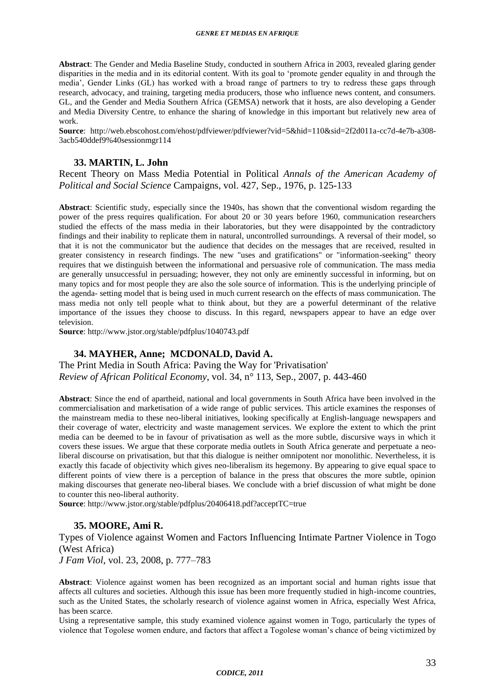**Abstract**: The Gender and Media Baseline Study, conducted in southern Africa in 2003, revealed glaring gender disparities in the media and in its editorial content. With its goal to 'promote gender equality in and through the media', Gender Links (GL) has worked with a broad range of partners to try to redress these gaps through research, advocacy, and training, targeting media producers, those who influence news content, and consumers. GL, and the Gender and Media Southern Africa (GEMSA) network that it hosts, are also developing a Gender and Media Diversity Centre, to enhance the sharing of knowledge in this important but relatively new area of work.

**Source**: http://web.ebscohost.com/ehost/pdfviewer/pdfviewer?vid=5&hid=110&sid=2f2d011a-cc7d-4e7b-a308- 3acb540ddef9%40sessionmgr114

#### **33. MARTIN, L. John**

Recent Theory on Mass Media Potential in Political *Annals of the American Academy of Political and Social Science* Campaigns, vol. 427, Sep., 1976, p. 125-133

**Abstract**: Scientific study, especially since the 1940s, has shown that the conventional wisdom regarding the power of the press requires qualification. For about 20 or 30 years before 1960, communication researchers studied the effects of the mass media in their laboratories, but they were disappointed by the contradictory findings and their inability to replicate them in natural, uncontrolled surroundings. A reversal of their model, so that it is not the communicator but the audience that decides on the messages that are received, resulted in greater consistency in research findings. The new "uses and gratifications" or "information-seeking" theory requires that we distinguish between the informational and persuasive role of communication. The mass media are generally unsuccessful in persuading; however, they not only are eminently successful in informing, but on many topics and for most people they are also the sole source of information. This is the underlying principle of the agenda- setting model that is being used in much current research on the effects of mass communication. The mass media not only tell people what to think about, but they are a powerful determinant of the relative importance of the issues they choose to discuss. In this regard, newspapers appear to have an edge over television.

**Source**: http://www.jstor.org/stable/pdfplus/1040743.pdf

#### **34. MAYHER, Anne; MCDONALD, David A.**

The Print Media in South Africa: Paving the Way for 'Privatisation' *Review of African Political Economy*, vol. 34, n° 113, Sep., 2007, p. 443-460

**Abstract**: Since the end of apartheid, national and local governments in South Africa have been involved in the commercialisation and marketisation of a wide range of public services. This article examines the responses of the mainstream media to these neo-liberal initiatives, looking specifically at English-language newspapers and their coverage of water, electricity and waste management services. We explore the extent to which the print media can be deemed to be in favour of privatisation as well as the more subtle, discursive ways in which it covers these issues. We argue that these corporate media outlets in South Africa generate and perpetuate a neoliberal discourse on privatisation, but that this dialogue is neither omnipotent nor monolithic. Nevertheless, it is exactly this facade of objectivity which gives neo-liberalism its hegemony. By appearing to give equal space to different points of view there is a perception of balance in the press that obscures the more subtle, opinion making discourses that generate neo-liberal biases. We conclude with a brief discussion of what might be done to counter this neo-liberal authority.

**Source**: http://www.jstor.org/stable/pdfplus/20406418.pdf?acceptTC=true

#### **35. MOORE, Ami R.**

Types of Violence against Women and Factors Influencing Intimate Partner Violence in Togo (West Africa)

*J Fam Viol*, vol. 23, 2008, p. 777–783

**Abstract**: Violence against women has been recognized as an important social and human rights issue that affects all cultures and societies. Although this issue has been more frequently studied in high-income countries, such as the United States, the scholarly research of violence against women in Africa, especially West Africa, has been scarce.

Using a representative sample, this study examined violence against women in Togo, particularly the types of violence that Togolese women endure, and factors that affect a Togolese woman's chance of being victimized by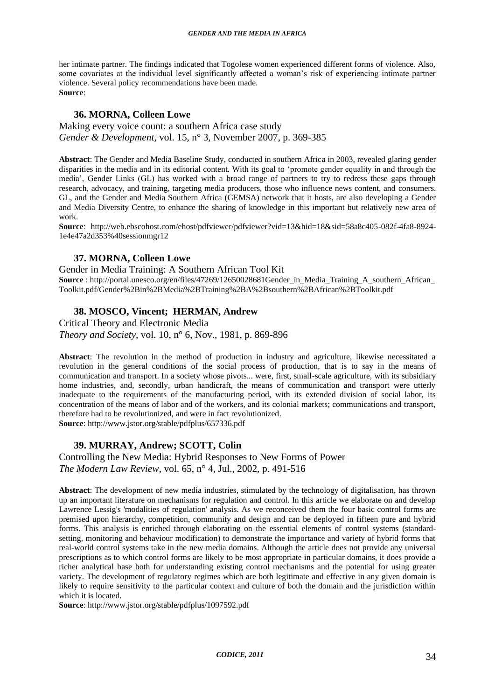her intimate partner. The findings indicated that Togolese women experienced different forms of violence. Also, some covariates at the individual level significantly affected a woman's risk of experiencing intimate partner violence. Several policy recommendations have been made. **Source**:

#### **36. MORNA, Colleen Lowe**

Making every voice count: a southern Africa case study *Gender & Development,* vol. 15, n° 3, November 2007, p. 369-385

**Abstract**: The Gender and Media Baseline Study, conducted in southern Africa in 2003, revealed glaring gender disparities in the media and in its editorial content. With its goal to 'promote gender equality in and through the media', Gender Links (GL) has worked with a broad range of partners to try to redress these gaps through research, advocacy, and training, targeting media producers, those who influence news content, and consumers. GL, and the Gender and Media Southern Africa (GEMSA) network that it hosts, are also developing a Gender and Media Diversity Centre, to enhance the sharing of knowledge in this important but relatively new area of work.

**Source**: http://web.ebscohost.com/ehost/pdfviewer/pdfviewer?vid=13&hid=18&sid=58a8c405-082f-4fa8-8924- 1e4e47a2d353%40sessionmgr12

#### **37. MORNA, Colleen Lowe**

Gender in Media Training: A Southern African Tool Kit **Source**: http://portal.unesco.org/en/files/47269/12650028681Gender\_in\_Media\_Training\_A\_southern\_African\_ Toolkit.pdf/Gender%2Bin%2BMedia%2BTraining%2BA%2Bsouthern%2BAfrican%2BToolkit.pdf

#### **38. MOSCO, Vincent; HERMAN, Andrew**

Critical Theory and Electronic Media *Theory and Society*, vol. 10, n° 6, Nov., 1981, p. 869-896

**Abstract**: The revolution in the method of production in industry and agriculture, likewise necessitated a revolution in the general conditions of the social process of production, that is to say in the means of communication and transport. In a society whose pivots... were, first, small-scale agriculture, with its subsidiary home industries, and, secondly, urban handicraft, the means of communication and transport were utterly inadequate to the requirements of the manufacturing period, with its extended division of social labor, its concentration of the means of labor and of the workers, and its colonial markets; communications and transport, therefore had to be revolutionized, and were in fact revolutionized.

**Source**: http://www.jstor.org/stable/pdfplus/657336.pdf

#### **39. MURRAY, Andrew; SCOTT, Colin**

Controlling the New Media: Hybrid Responses to New Forms of Power *The Modern Law Review*, vol. 65, n° 4, Jul., 2002, p. 491-516

**Abstract**: The development of new media industries, stimulated by the technology of digitalisation, has thrown up an important literature on mechanisms for regulation and control. In this article we elaborate on and develop Lawrence Lessig's 'modalities of regulation' analysis. As we reconceived them the four basic control forms are premised upon hierarchy, competition, community and design and can be deployed in fifteen pure and hybrid forms. This analysis is enriched through elaborating on the essential elements of control systems (standardsetting, monitoring and behaviour modification) to demonstrate the importance and variety of hybrid forms that real-world control systems take in the new media domains. Although the article does not provide any universal prescriptions as to which control forms are likely to be most appropriate in particular domains, it does provide a richer analytical base both for understanding existing control mechanisms and the potential for using greater variety. The development of regulatory regimes which are both legitimate and effective in any given domain is likely to require sensitivity to the particular context and culture of both the domain and the jurisdiction within which it is located.

**Source**: http://www.jstor.org/stable/pdfplus/1097592.pdf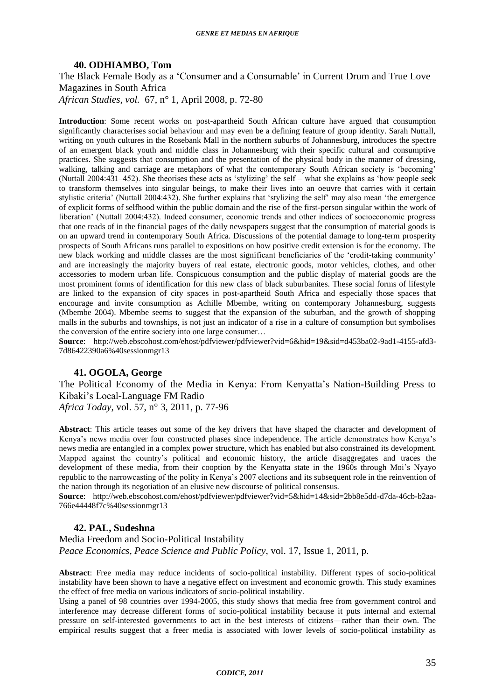#### **40. ODHIAMBO, Tom**

### The Black Female Body as a 'Consumer and a Consumable' in Current Drum and True Love Magazines in South Africa *African Studies, vol.* 67, n° 1, April 2008, p. 72-80

**Introduction**: Some recent works on post-apartheid South African culture have argued that consumption significantly characterises social behaviour and may even be a defining feature of group identity. Sarah Nuttall, writing on youth cultures in the Rosebank Mall in the northern suburbs of Johannesburg, introduces the spectre of an emergent black youth and middle class in Johannesburg with their specific cultural and consumptive practices. She suggests that consumption and the presentation of the physical body in the manner of dressing, walking, talking and carriage are metaphors of what the contemporary South African society is 'becoming' (Nuttall 2004:431–452). She theorises these acts as 'stylizing' the self – what she explains as 'how people seek to transform themselves into singular beings, to make their lives into an oeuvre that carries with it certain stylistic criteria' (Nuttall 2004:432). She further explains that 'stylizing the self' may also mean 'the emergence of explicit forms of selfhood within the public domain and the rise of the first-person singular within the work of liberation' (Nuttall 2004:432). Indeed consumer, economic trends and other indices of socioeconomic progress that one reads of in the financial pages of the daily newspapers suggest that the consumption of material goods is on an upward trend in contemporary South Africa. Discussions of the potential damage to long-term prosperity prospects of South Africans runs parallel to expositions on how positive credit extension is for the economy. The new black working and middle classes are the most significant beneficiaries of the 'credit-taking community' and are increasingly the majority buyers of real estate, electronic goods, motor vehicles, clothes, and other accessories to modern urban life. Conspicuous consumption and the public display of material goods are the most prominent forms of identification for this new class of black suburbanites. These social forms of lifestyle are linked to the expansion of city spaces in post-apartheid South Africa and especially those spaces that encourage and invite consumption as Achille Mbembe, writing on contemporary Johannesburg, suggests (Mbembe 2004). Mbembe seems to suggest that the expansion of the suburban, and the growth of shopping malls in the suburbs and townships, is not just an indicator of a rise in a culture of consumption but symbolises the conversion of the entire society into one large consumer…

**Source**: http://web.ebscohost.com/ehost/pdfviewer/pdfviewer?vid=6&hid=19&sid=d453ba02-9ad1-4155-afd3- 7d86422390a6%40sessionmgr13

#### **41. OGOLA, George**

The Political Economy of the Media in Kenya: From Kenyatta's Nation-Building Press to Kibaki's Local-Language FM Radio

*Africa Today*, vol. 57, n° 3, 2011, p. 77-96

**Abstract**: This article teases out some of the key drivers that have shaped the character and development of Kenya's news media over four constructed phases since independence. The article demonstrates how Kenya's news media are entangled in a complex power structure, which has enabled but also constrained its development. Mapped against the country's political and economic history, the article disaggregates and traces the development of these media, from their cooption by the Kenyatta state in the 1960s through Moi's Nyayo republic to the narrowcasting of the polity in Kenya's 2007 elections and its subsequent role in the reinvention of the nation through its negotiation of an elusive new discourse of political consensus.

**Source**: http://web.ebscohost.com/ehost/pdfviewer/pdfviewer?vid=5&hid=14&sid=2bb8e5dd-d7da-46cb-b2aa-766e44448f7c%40sessionmgr13

#### **42. PAL, Sudeshna**

Media Freedom and Socio-Political Instability *Peace Economics, Peace Science and Public Policy*, vol. 17, Issue 1, 2011, p.

**Abstract**: Free media may reduce incidents of socio-political instability. Different types of socio-political instability have been shown to have a negative effect on investment and economic growth. This study examines the effect of free media on various indicators of socio-political instability.

Using a panel of 98 countries over 1994-2005, this study shows that media free from government control and interference may decrease different forms of socio-political instability because it puts internal and external pressure on self-interested governments to act in the best interests of citizens—rather than their own. The empirical results suggest that a freer media is associated with lower levels of socio-political instability as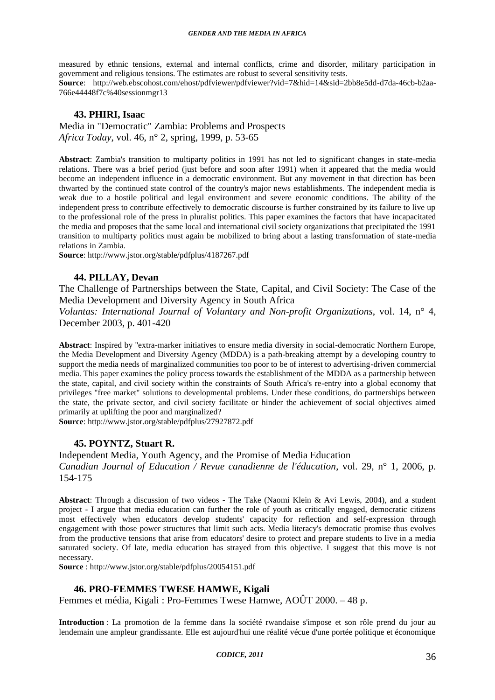measured by ethnic tensions, external and internal conflicts, crime and disorder, military participation in government and religious tensions. The estimates are robust to several sensitivity tests. **Source**: http://web.ebscohost.com/ehost/pdfviewer/pdfviewer?vid=7&hid=14&sid=2bb8e5dd-d7da-46cb-b2aa-766e44448f7c%40sessionmgr13

#### **43. PHIRI, Isaac**

Media in "Democratic" Zambia: Problems and Prospects *Africa Today*, vol. 46, n° 2, spring, 1999, p. 53-65

**Abstract**: Zambia's transition to multiparty politics in 1991 has not led to significant changes in state-media relations. There was a brief period (just before and soon after 1991) when it appeared that the media would become an independent influence in a democratic environment. But any movement in that direction has been thwarted by the continued state control of the country's major news establishments. The independent media is weak due to a hostile political and legal environment and severe economic conditions. The ability of the independent press to contribute effectively to democratic discourse is further constrained by its failure to live up to the professional role of the press in pluralist politics. This paper examines the factors that have incapacitated the media and proposes that the same local and international civil society organizations that precipitated the 1991 transition to multiparty politics must again be mobilized to bring about a lasting transformation of state-media relations in Zambia.

**Source**: http://www.jstor.org/stable/pdfplus/4187267.pdf

#### **44. PILLAY, Devan**

The Challenge of Partnerships between the State, Capital, and Civil Society: The Case of the Media Development and Diversity Agency in South Africa

*Voluntas: International Journal of Voluntary and Non-profit Organizations*, vol. 14, n° 4, December 2003, p. 401-420

**Abstract**: Inspired by ''extra-marker initiatives to ensure media diversity in social-democratic Northern Europe, the Media Development and Diversity Agency (MDDA) is a path-breaking attempt by a developing country to support the media needs of marginalized communities too poor to be of interest to advertising-driven commercial media. This paper examines the policy process towards the establishment of the MDDA as a partnership between the state, capital, and civil society within the constraints of South Africa's re-entry into a global economy that privileges "free market" solutions to developmental problems. Under these conditions, do partnerships between the state, the private sector, and civil society facilitate or hinder the achievement of social objectives aimed primarily at uplifting the poor and marginalized?

**Source**: http://www.jstor.org/stable/pdfplus/27927872.pdf

#### **45. POYNTZ, Stuart R.**

Independent Media, Youth Agency, and the Promise of Media Education *Canadian Journal of Education / Revue canadienne de l'éducation*, vol. 29, n° 1, 2006, p. 154-175

**Abstract**: Through a discussion of two videos - The Take (Naomi Klein & Avi Lewis, 2004), and a student project - I argue that media education can further the role of youth as critically engaged, democratic citizens most effectively when educators develop students' capacity for reflection and self-expression through engagement with those power structures that limit such acts. Media literacy's democratic promise thus evolves from the productive tensions that arise from educators' desire to protect and prepare students to live in a media saturated society. Of late, media education has strayed from this objective. I suggest that this move is not necessary.

**Source** : http://www.jstor.org/stable/pdfplus/20054151.pdf

#### **46. PRO-FEMMES TWESE HAMWE, Kigali**

Femmes et média, Kigali : Pro-Femmes Twese Hamwe, AOÛT 2000. – 48 p.

**Introduction** : La promotion de la femme dans la société rwandaise s'impose et son rôle prend du jour au lendemain une ampleur grandissante. Elle est aujourd'hui une réalité vécue d'une portée politique et économique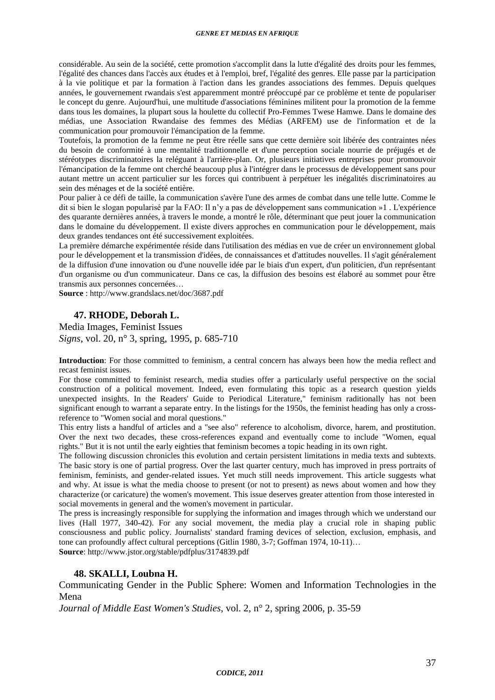considérable. Au sein de la société, cette promotion s'accomplit dans la lutte d'égalité des droits pour les femmes, l'égalité des chances dans l'accès aux études et à l'emploi, bref, l'égalité des genres. Elle passe par la participation à la vie politique et par la formation à l'action dans les grandes associations des femmes. Depuis quelques années, le gouvernement rwandais s'est apparemment montré préoccupé par ce problème et tente de populariser le concept du genre. Aujourd'hui, une multitude d'associations féminines militent pour la promotion de la femme dans tous les domaines, la plupart sous la houlette du collectif Pro-Femmes Twese Hamwe. Dans le domaine des médias, une Association Rwandaise des femmes des Médias (ARFEM) use de l'information et de la communication pour promouvoir l'émancipation de la femme.

Toutefois, la promotion de la femme ne peut être réelle sans que cette dernière soit libérée des contraintes nées du besoin de conformité à une mentalité traditionnelle et d'une perception sociale nourrie de préjugés et de stéréotypes discriminatoires la reléguant à l'arrière-plan. Or, plusieurs initiatives entreprises pour promouvoir l'émancipation de la femme ont cherché beaucoup plus à l'intégrer dans le processus de développement sans pour autant mettre un accent particulier sur les forces qui contribuent à perpétuer les inégalités discriminatoires au sein des ménages et de la société entière.

Pour palier à ce défi de taille, la communication s'avère l'une des armes de combat dans une telle lutte. Comme le dit si bien le slogan popularisé par la FAO: Il n'y a pas de développement sans communication »1 . L'expérience des quarante dernières années, à travers le monde, a montré le rôle, déterminant que peut jouer la communication dans le domaine du développement. Il existe divers approches en communication pour le développement, mais deux grandes tendances ont été successivement exploitées.

La première démarche expérimentée réside dans l'utilisation des médias en vue de créer un environnement global pour le développement et la transmission d'idées, de connaissances et d'attitudes nouvelles. Il s'agit généralement de la diffusion d'une innovation ou d'une nouvelle idée par le biais d'un expert, d'un politicien, d'un représentant d'un organisme ou d'un communicateur. Dans ce cas, la diffusion des besoins est élaboré au sommet pour être transmis aux personnes concernées…

**Source** : http://www.grandslacs.net/doc/3687.pdf

#### **47. RHODE, Deborah L.**

Media Images, Feminist Issues *Signs*, vol. 20, n° 3, spring, 1995, p. 685-710

**Introduction**: For those committed to feminism, a central concern has always been how the media reflect and recast feminist issues.

For those committed to feminist research, media studies offer a particularly useful perspective on the social construction of a political movement. Indeed, even formulating this topic as a research question yields unexpected insights. In the Readers' Guide to Periodical Literature," feminism raditionally has not been significant enough to warrant a separate entry. In the listings for the 1950s, the feminist heading has only a crossreference to "Women social and moral questions."

This entry lists a handful of articles and a "see also" reference to alcoholism, divorce, harem, and prostitution. Over the next two decades, these cross-references expand and eventually come to include "Women, equal rights." But it is not until the early eighties that feminism becomes a topic heading in its own right.

The following discussion chronicles this evolution and certain persistent limitations in media texts and subtexts. The basic story is one of partial progress. Over the last quarter century, much has improved in press portraits of feminism, feminists, and gender-related issues. Yet much still needs improvement. This article suggests what and why. At issue is what the media choose to present (or not to present) as news about women and how they characterize (or caricature) the women's movement. This issue deserves greater attention from those interested in social movements in general and the women's movement in particular.

The press is increasingly responsible for supplying the information and images through which we understand our lives (Hall 1977, 340-42). For any social movement, the media play a crucial role in shaping public consciousness and public policy. Journalists' standard framing devices of selection, exclusion, emphasis, and tone can profoundly affect cultural perceptions (Gitlin 1980, 3-7; Goffman 1974, 10-11)...

**Source**: http://www.jstor.org/stable/pdfplus/3174839.pdf

#### **48. SKALLI, Loubna H.**

Communicating Gender in the Public Sphere: Women and Information Technologies in the Mena

*Journal of Middle East Women's Studies*, vol. 2, n° 2, spring 2006, p. 35-59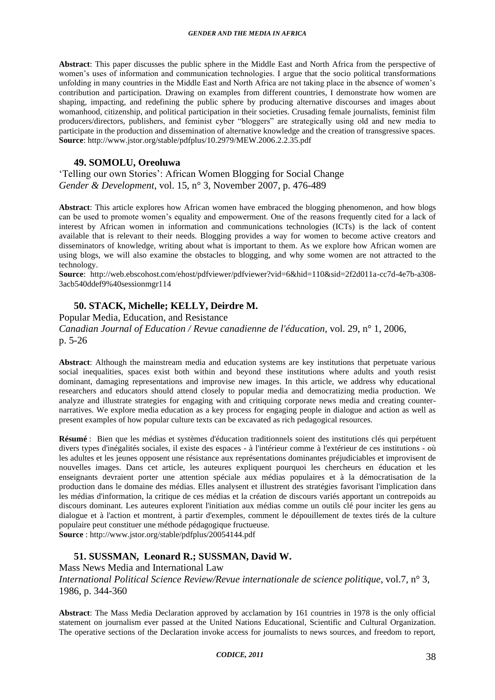**Abstract**: This paper discusses the public sphere in the Middle East and North Africa from the perspective of women's uses of information and communication technologies. I argue that the socio political transformations unfolding in many countries in the Middle East and North Africa are not taking place in the absence of women's contribution and participation. Drawing on examples from different countries, I demonstrate how women are shaping, impacting, and redefining the public sphere by producing alternative discourses and images about womanhood, citizenship, and political participation in their societies. Crusading female journalists, feminist film producers/directors, publishers, and feminist cyber "bloggers" are strategically using old and new media to participate in the production and dissemination of alternative knowledge and the creation of transgressive spaces. **Source**: http://www.jstor.org/stable/pdfplus/10.2979/MEW.2006.2.2.35.pdf

#### **49. SOMOLU, Oreoluwa**

'Telling our own Stories': African Women Blogging for Social Change *Gender & Development*, vol. 15, n° 3, November 2007, p. 476-489

**Abstract**: This article explores how African women have embraced the blogging phenomenon, and how blogs can be used to promote women's equality and empowerment. One of the reasons frequently cited for a lack of interest by African women in information and communications technologies (ICTs) is the lack of content available that is relevant to their needs. Blogging provides a way for women to become active creators and disseminators of knowledge, writing about what is important to them. As we explore how African women are using blogs, we will also examine the obstacles to blogging, and why some women are not attracted to the technology.

**Source**: http://web.ebscohost.com/ehost/pdfviewer/pdfviewer?vid=6&hid=110&sid=2f2d011a-cc7d-4e7b-a308- 3acb540ddef9%40sessionmgr114

#### **50. STACK, Michelle; KELLY, Deirdre M.**

Popular Media, Education, and Resistance *Canadian Journal of Education / Revue canadienne de l'éducation*, vol. 29, n° 1, 2006, p. 5-26

**Abstract**: Although the mainstream media and education systems are key institutions that perpetuate various social inequalities, spaces exist both within and beyond these institutions where adults and youth resist dominant, damaging representations and improvise new images. In this article, we address why educational researchers and educators should attend closely to popular media and democratizing media production. We analyze and illustrate strategies for engaging with and critiquing corporate news media and creating counternarratives. We explore media education as a key process for engaging people in dialogue and action as well as present examples of how popular culture texts can be excavated as rich pedagogical resources.

**Résumé** : Bien que les médias et systèmes d'éducation traditionnels soient des institutions clés qui perpétuent divers types d'inégalités sociales, il existe des espaces - à l'intérieur comme à l'extérieur de ces institutions - où les adultes et les jeunes opposent une résistance aux représentations dominantes préjudiciables et improvisent de nouvelles images. Dans cet article, les auteures expliquent pourquoi les chercheurs en éducation et les enseignants devraient porter une attention spéciale aux médias populaires et à la démocratisation de la production dans le domaine des médias. Elles analysent et illustrent des stratégies favorisant l'implication dans les médias d'information, la critique de ces médias et la création de discours variés apportant un contrepoids au discours dominant. Les auteures explorent l'initiation aux médias comme un outils clé pour inciter les gens au dialogue et à l'action et montrent, à partir d'exemples, comment le dépouillement de textes tirés de la culture populaire peut constituer une méthode pédagogique fructueuse.

**Source** : http://www.jstor.org/stable/pdfplus/20054144.pdf

### **51. SUSSMAN, Leonard R.; SUSSMAN, David W.**

Mass News Media and International Law *International Political Science Review/Revue internationale de science politique*, vol.7, n° 3, 1986, p. 344-360

**Abstract**: The Mass Media Declaration approved by acclamation by 161 countries in 1978 is the only official statement on journalism ever passed at the United Nations Educational, Scientific and Cultural Organization. The operative sections of the Declaration invoke access for journalists to news sources, and freedom to report,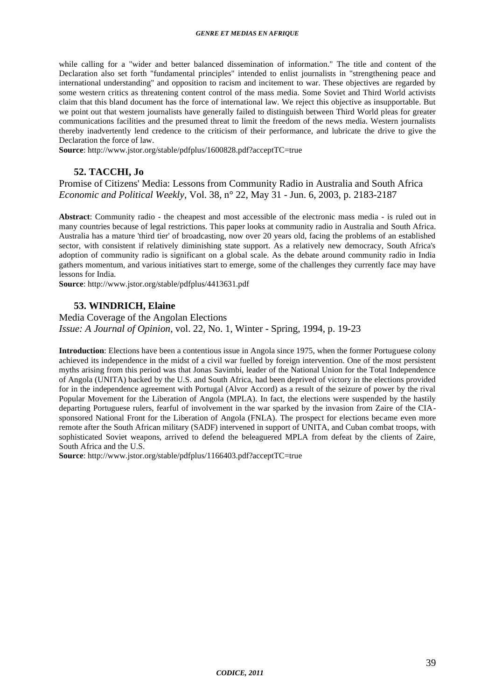#### *GENRE ET MEDIAS EN AFRIQUE*

while calling for a "wider and better balanced dissemination of information." The title and content of the Declaration also set forth "fundamental principles" intended to enlist journalists in "strengthening peace and international understanding" and opposition to racism and incitement to war. These objectives are regarded by some western critics as threatening content control of the mass media. Some Soviet and Third World activists claim that this bland document has the force of international law. We reject this objective as insupportable. But we point out that western journalists have generally failed to distinguish between Third World pleas for greater communications facilities and the presumed threat to limit the freedom of the news media. Western journalists thereby inadvertently lend credence to the criticism of their performance, and lubricate the drive to give the Declaration the force of law.

**Source**: http://www.jstor.org/stable/pdfplus/1600828.pdf?acceptTC=true

#### **52. TACCHI, Jo**

Promise of Citizens' Media: Lessons from Community Radio in Australia and South Africa *Economic and Political Weekly*, Vol. 38, n° 22, May 31 - Jun. 6, 2003, p. 2183-2187

**Abstract**: Community radio - the cheapest and most accessible of the electronic mass media - is ruled out in many countries because of legal restrictions. This paper looks at community radio in Australia and South Africa. Australia has a mature 'third tier' of broadcasting, now over 20 years old, facing the problems of an established sector, with consistent if relatively diminishing state support. As a relatively new democracy, South Africa's adoption of community radio is significant on a global scale. As the debate around community radio in India gathers momentum, and various initiatives start to emerge, some of the challenges they currently face may have lessons for India.

**Source**: http://www.jstor.org/stable/pdfplus/4413631.pdf

#### **53. WINDRICH, Elaine**

Media Coverage of the Angolan Elections *Issue: A Journal of Opinion*, vol. 22, No. 1, Winter - Spring, 1994, p. 19-23

**Introduction**: Elections have been a contentious issue in Angola since 1975, when the former Portuguese colony achieved its independence in the midst of a civil war fuelled by foreign intervention. One of the most persistent myths arising from this period was that Jonas Savimbi, leader of the National Union for the Total Independence of Angola (UNITA) backed by the U.S. and South Africa, had been deprived of victory in the elections provided for in the independence agreement with Portugal (Alvor Accord) as a result of the seizure of power by the rival Popular Movement for the Liberation of Angola (MPLA). In fact, the elections were suspended by the hastily departing Portuguese rulers, fearful of involvement in the war sparked by the invasion from Zaire of the CIAsponsored National Front for the Liberation of Angola (FNLA). The prospect for elections became even more remote after the South African military (SADF) intervened in support of UNITA, and Cuban combat troops, with sophisticated Soviet weapons, arrived to defend the beleaguered MPLA from defeat by the clients of Zaire, South Africa and the U.S.

**Source**: http://www.jstor.org/stable/pdfplus/1166403.pdf?acceptTC=true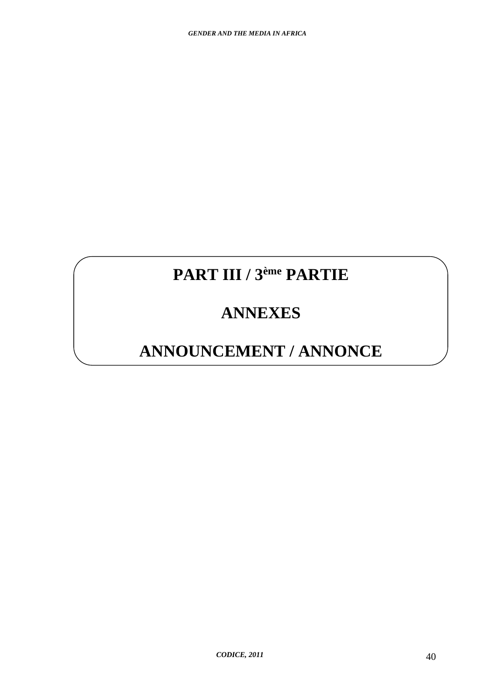# **PART III / 3ème PARTIE**

# **ANNEXES**

# **ANNOUNCEMENT / ANNONCE**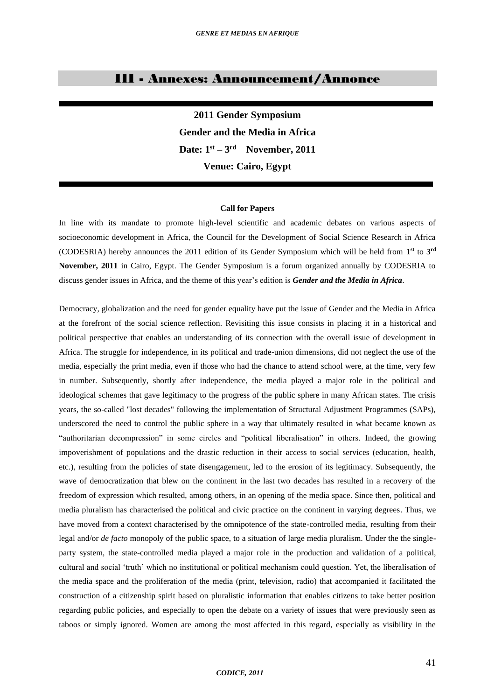## <span id="page-39-0"></span>III - Annexes: Announcement/Annonce

**2011 Gender Symposium Gender and the Media in Africa Date: 1st – 3 rd November, 2011 Venue: Cairo, Egypt**

#### **Call for Papers**

In line with its mandate to promote high-level scientific and academic debates on various aspects of socioeconomic development in Africa, the Council for the Development of Social Science Research in Africa (CODESRIA) hereby announces the 2011 edition of its Gender Symposium which will be held from  $1<sup>st</sup>$  to  $3<sup>rd</sup>$ **November, 2011** in Cairo, Egypt. The Gender Symposium is a forum organized annually by CODESRIA to discuss gender issues in Africa, and the theme of this year's edition is *Gender and the Media in Africa*.

Democracy, globalization and the need for gender equality have put the issue of Gender and the Media in Africa at the forefront of the social science reflection. Revisiting this issue consists in placing it in a historical and political perspective that enables an understanding of its connection with the overall issue of development in Africa. The struggle for independence, in its political and trade-union dimensions, did not neglect the use of the media, especially the print media, even if those who had the chance to attend school were, at the time, very few in number. Subsequently, shortly after independence, the media played a major role in the political and ideological schemes that gave legitimacy to the progress of the public sphere in many African states. The crisis years, the so-called "lost decades" following the implementation of Structural Adjustment Programmes (SAPs), underscored the need to control the public sphere in a way that ultimately resulted in what became known as "authoritarian decompression" in some circles and "political liberalisation" in others. Indeed, the growing impoverishment of populations and the drastic reduction in their access to social services (education, health, etc.), resulting from the policies of state disengagement, led to the erosion of its legitimacy. Subsequently, the wave of democratization that blew on the continent in the last two decades has resulted in a recovery of the freedom of expression which resulted, among others, in an opening of the media space. Since then, political and media pluralism has characterised the political and civic practice on the continent in varying degrees. Thus, we have moved from a context characterised by the omnipotence of the state-controlled media, resulting from their legal and/or *de facto* monopoly of the public space, to a situation of large media pluralism. Under the the singleparty system, the state-controlled media played a major role in the production and validation of a political, cultural and social 'truth' which no institutional or political mechanism could question. Yet, the liberalisation of the media space and the proliferation of the media (print, television, radio) that accompanied it facilitated the construction of a citizenship spirit based on pluralistic information that enables citizens to take better position regarding public policies, and especially to open the debate on a variety of issues that were previously seen as taboos or simply ignored. Women are among the most affected in this regard, especially as visibility in the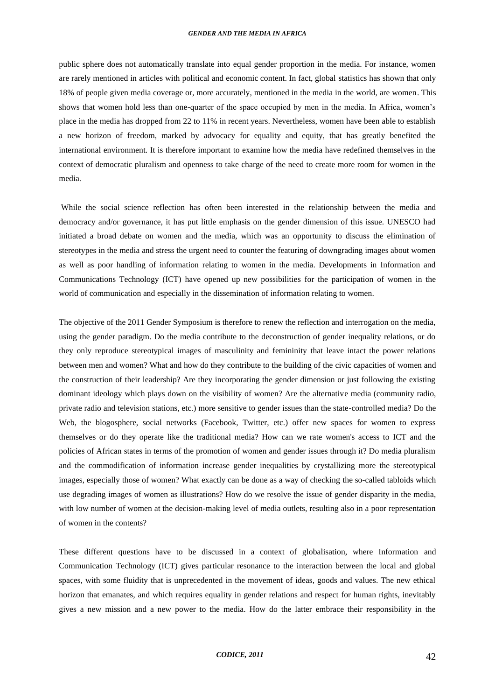#### *GENDER AND THE MEDIA IN AFRICA*

public sphere does not automatically translate into equal gender proportion in the media. For instance, women are rarely mentioned in articles with political and economic content. In fact, global statistics has shown that only 18% of people given media coverage or, more accurately, mentioned in the media in the world, are women. This shows that women hold less than one-quarter of the space occupied by men in the media. In Africa, women's place in the media has dropped from 22 to 11% in recent years. Nevertheless, women have been able to establish a new horizon of freedom, marked by advocacy for equality and equity, that has greatly benefited the international environment. It is therefore important to examine how the media have redefined themselves in the context of democratic pluralism and openness to take charge of the need to create more room for women in the media.

While the social science reflection has often been interested in the relationship between the media and democracy and/or governance, it has put little emphasis on the gender dimension of this issue. UNESCO had initiated a broad debate on women and the media, which was an opportunity to discuss the elimination of stereotypes in the media and stress the urgent need to counter the featuring of downgrading images about women as well as poor handling of information relating to women in the media. Developments in Information and Communications Technology (ICT) have opened up new possibilities for the participation of women in the world of communication and especially in the dissemination of information relating to women.

The objective of the 2011 Gender Symposium is therefore to renew the reflection and interrogation on the media, using the gender paradigm. Do the media contribute to the deconstruction of gender inequality relations, or do they only reproduce stereotypical images of masculinity and femininity that leave intact the power relations between men and women? What and how do they contribute to the building of the civic capacities of women and the construction of their leadership? Are they incorporating the gender dimension or just following the existing dominant ideology which plays down on the visibility of women? Are the alternative media (community radio, private radio and television stations, etc.) more sensitive to gender issues than the state-controlled media? Do the Web, the blogosphere, social networks (Facebook, Twitter, etc.) offer new spaces for women to express themselves or do they operate like the traditional media? How can we rate women's access to ICT and the policies of African states in terms of the promotion of women and gender issues through it? Do media pluralism and the commodification of information increase gender inequalities by crystallizing more the stereotypical images, especially those of women? What exactly can be done as a way of checking the so-called tabloids which use degrading images of women as illustrations? How do we resolve the issue of gender disparity in the media, with low number of women at the decision-making level of media outlets, resulting also in a poor representation of women in the contents?

These different questions have to be discussed in a context of globalisation, where Information and Communication Technology (ICT) gives particular resonance to the interaction between the local and global spaces, with some fluidity that is unprecedented in the movement of ideas, goods and values. The new ethical horizon that emanates, and which requires equality in gender relations and respect for human rights, inevitably gives a new mission and a new power to the media. How do the latter embrace their responsibility in the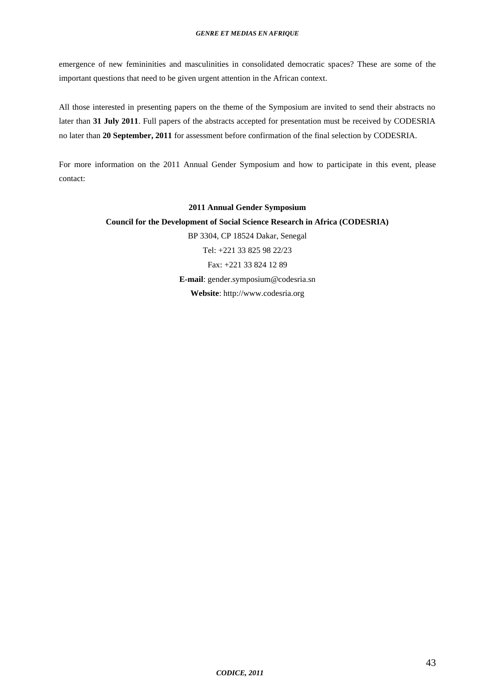#### *GENRE ET MEDIAS EN AFRIQUE*

emergence of new femininities and masculinities in consolidated democratic spaces? These are some of the important questions that need to be given urgent attention in the African context.

All those interested in presenting papers on the theme of the Symposium are invited to send their abstracts no later than **31 July 2011**. Full papers of the abstracts accepted for presentation must be received by CODESRIA no later than **20 September, 2011** for assessment before confirmation of the final selection by CODESRIA.

For more information on the 2011 Annual Gender Symposium and how to participate in this event, please contact:

## **2011 Annual Gender Symposium Council for the Development of Social Science Research in Africa (CODESRIA)** BP 3304, CP 18524 Dakar, Senegal Tel: +221 33 825 98 22/23 Fax: +221 33 824 12 89 **E-mail**: gender.symposium@codesria.sn **Website**: http://www.codesria.org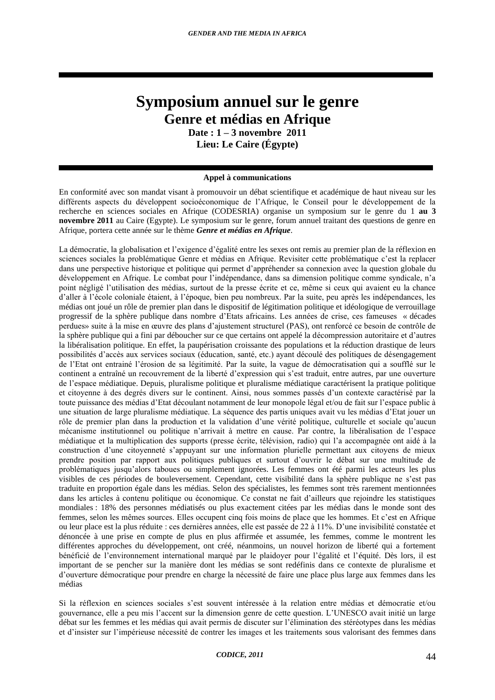## **Symposium annuel sur le genre Genre et médias en Afrique Date : 1 – 3 novembre 2011**

**Lieu: Le Caire (Égypte)**

#### **Appel à communications**

En conformité avec son mandat visant à promouvoir un débat scientifique et académique de haut niveau sur les différents aspects du développent socioéconomique de l'Afrique, le Conseil pour le développement de la recherche en sciences sociales en Afrique (CODESRIA) organise un symposium sur le genre du 1 **au 3 novembre 2011** au Caire (Egypte). Le symposium sur le genre, forum annuel traitant des questions de genre en Afrique, portera cette année sur le thème *Genre et médias en Afrique*.

La démocratie, la globalisation et l'exigence d'égalité entre les sexes ont remis au premier plan de la réflexion en sciences sociales la problématique Genre et médias en Afrique. Revisiter cette problématique c'est la replacer dans une perspective historique et politique qui permet d'appréhender sa connexion avec la question globale du développement en Afrique. Le combat pour l'indépendance, dans sa dimension politique comme syndicale, n'a point négligé l'utilisation des médias, surtout de la presse écrite et ce, même si ceux qui avaient eu la chance d'aller à l'école coloniale étaient, à l'époque, bien peu nombreux. Par la suite, peu après les indépendances, les médias ont joué un rôle de premier plan dans le dispositif de légitimation politique et idéologique de verrouillage progressif de la sphère publique dans nombre d'Etats africains. Les années de crise, ces fameuses « décades perdues» suite à la mise en œuvre des plans d'ajustement structurel (PAS), ont renforcé ce besoin de contrôle de la sphère publique qui a fini par déboucher sur ce que certains ont appelé la décompression autoritaire et d'autres la libéralisation politique. En effet, la paupérisation croissante des populations et la réduction drastique de leurs possibilités d'accès aux services sociaux (éducation, santé, etc.) ayant découlé des politiques de désengagement de l'Etat ont entrainé l'érosion de sa légitimité. Par la suite, la vague de démocratisation qui a soufflé sur le continent a entraîné un recouvrement de la liberté d'expression qui s'est traduit, entre autres, par une ouverture de l'espace médiatique. Depuis, pluralisme politique et pluralisme médiatique caractérisent la pratique politique et citoyenne à des degrés divers sur le continent. Ainsi, nous sommes passés d'un contexte caractérisé par la toute puissance des médias d'Etat découlant notamment de leur monopole légal et/ou de fait sur l'espace public à une situation de large pluralisme médiatique. La séquence des partis uniques avait vu les médias d'Etat jouer un rôle de premier plan dans la production et la validation d'une vérité politique, culturelle et sociale qu'aucun mécanisme institutionnel ou politique n'arrivait à mettre en cause. Par contre, la libéralisation de l'espace médiatique et la multiplication des supports (presse écrite, télévision, radio) qui l'a accompagnée ont aidé à la construction d'une citoyenneté s'appuyant sur une information plurielle permettant aux citoyens de mieux prendre position par rapport aux politiques publiques et surtout d'ouvrir le débat sur une multitude de problématiques jusqu'alors taboues ou simplement ignorées. Les femmes ont été parmi les acteurs les plus visibles de ces périodes de bouleversement. Cependant, cette visibilité dans la sphère publique ne s'est pas traduite en proportion égale dans les médias. Selon des spécialistes, les femmes sont très rarement mentionnées dans les articles à contenu politique ou économique. Ce constat ne fait d'ailleurs que rejoindre les statistiques mondiales : 18% des personnes médiatisés ou plus exactement citées par les médias dans le monde sont des femmes, selon les mêmes sources. Elles occupent cinq fois moins de place que les hommes. Et c'est en Afrique ou leur place est la plus réduite : ces dernières années, elle est passée de 22 à 11%. D'une invisibilité constatée et dénoncée à une prise en compte de plus en plus affirmée et assumée, les femmes, comme le montrent les différentes approches du développement, ont créé, néanmoins, un nouvel horizon de liberté qui a fortement bénéficié de l'environnement international marqué par le plaidoyer pour l'égalité et l'équité. Dès lors, il est important de se pencher sur la manière dont les médias se sont redéfinis dans ce contexte de pluralisme et d'ouverture démocratique pour prendre en charge la nécessité de faire une place plus large aux femmes dans les médias

Si la réflexion en sciences sociales s'est souvent intéressée à la relation entre médias et démocratie et/ou gouvernance, elle a peu mis l'accent sur la dimension genre de cette question. L'UNESCO avait initié un large débat sur les femmes et les médias qui avait permis de discuter sur l'élimination des stéréotypes dans les médias et d'insister sur l'impérieuse nécessité de contrer les images et les traitements sous valorisant des femmes dans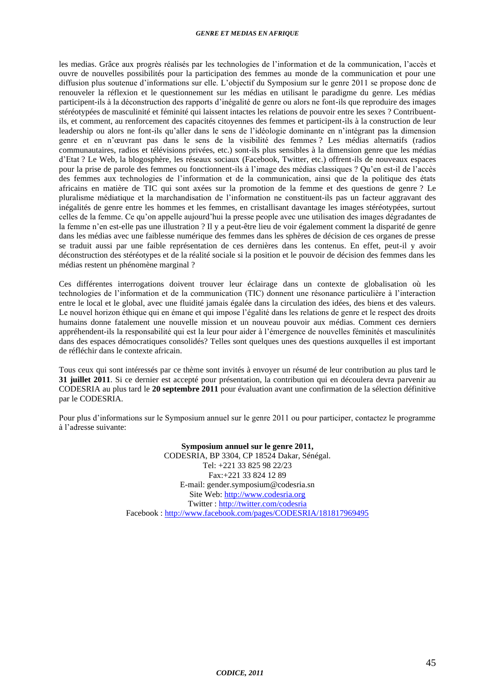#### *GENRE ET MEDIAS EN AFRIQUE*

les medias. Grâce aux progrès réalisés par les technologies de l'information et de la communication, l'accès et ouvre de nouvelles possibilités pour la participation des femmes au monde de la communication et pour une diffusion plus soutenue d'informations sur elle. L'objectif du Symposium sur le genre 2011 se propose donc de renouveler la réflexion et le questionnement sur les médias en utilisant le paradigme du genre. Les médias participent-ils à la déconstruction des rapports d'inégalité de genre ou alors ne font-ils que reproduire des images stéréotypées de masculinité et féminité qui laissent intactes les relations de pouvoir entre les sexes ? Contribuentils, et comment, au renforcement des capacités citoyennes des femmes et participent-ils à la construction de leur leadership ou alors ne font-ils qu'aller dans le sens de l'idéologie dominante en n'intégrant pas la dimension genre et en n'œuvrant pas dans le sens de la visibilité des femmes ? Les médias alternatifs (radios communautaires, radios et télévisions privées, etc.) sont-ils plus sensibles à la dimension genre que les médias d'Etat ? Le Web, la blogosphère, les réseaux sociaux (Facebook, Twitter, etc.) offrent-ils de nouveaux espaces pour la prise de parole des femmes ou fonctionnent-ils à l'image des médias classiques ? Qu'en est-il de l'accès des femmes aux technologies de l'information et de la communication, ainsi que de la politique des états africains en matière de TIC qui sont axées sur la promotion de la femme et des questions de genre ? Le pluralisme médiatique et la marchandisation de l'information ne constituent-ils pas un facteur aggravant des inégalités de genre entre les hommes et les femmes, en cristallisant davantage les images stéréotypées, surtout celles de la femme. Ce qu'on appelle aujourd'hui la presse people avec une utilisation des images dégradantes de la femme n'en est-elle pas une illustration ? Il y a peut-être lieu de voir également comment la disparité de genre dans les médias avec une faiblesse numérique des femmes dans les sphères de décision de ces organes de presse se traduit aussi par une faible représentation de ces dernières dans les contenus. En effet, peut-il y avoir déconstruction des stéréotypes et de la réalité sociale si la position et le pouvoir de décision des femmes dans les médias restent un phénomène marginal ?

Ces différentes interrogations doivent trouver leur éclairage dans un contexte de globalisation où les technologies de l'information et de la communication (TIC) donnent une résonance particulière à l'interaction entre le local et le global, avec une fluidité jamais égalée dans la circulation des idées, des biens et des valeurs. Le nouvel horizon éthique qui en émane et qui impose l'égalité dans les relations de genre et le respect des droits humains donne fatalement une nouvelle mission et un nouveau pouvoir aux médias. Comment ces derniers appréhendent-ils la responsabilité qui est la leur pour aider à l'émergence de nouvelles féminités et masculinités dans des espaces démocratiques consolidés? Telles sont quelques unes des questions auxquelles il est important de réfléchir dans le contexte africain.

Tous ceux qui sont intéressés par ce thème sont invités à envoyer un résumé de leur contribution au plus tard le **31 juillet 2011**. Si ce dernier est accepté pour présentation, la contribution qui en découlera devra parvenir au CODESRIA au plus tard le **20 septembre 2011** pour évaluation avant une confirmation de la sélection définitive par le CODESRIA.

Pour plus d'informations sur le Symposium annuel sur le genre 2011 ou pour participer, contactez le programme à l'adresse suivante:

> **Symposium annuel sur le genre 2011,** CODESRIA, BP 3304, CP 18524 Dakar, Sénégal. Tel: +221 33 825 98 22/23 Fax:+221 33 824 12 89 E-mail: gender.symposium@codesria.sn Site Web: [http://www.codesria.org](http://www.codesria.org/) Twitter :<http://twitter.com/codesria> Facebook :<http://www.facebook.com/pages/CODESRIA/181817969495>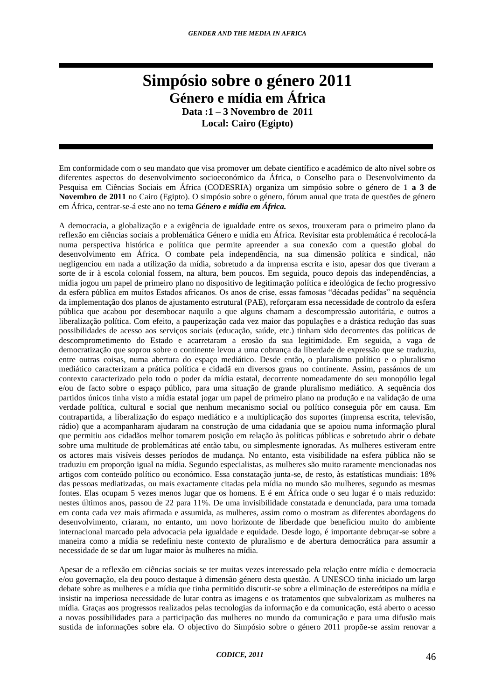## **Simpósio sobre o género 2011 Género e mídia em África Data :1 – 3 Novembro de 2011**

**Local: Cairo (Egipto)**

Em conformidade com o seu mandato que visa promover um debate científico e académico de alto nível sobre os diferentes aspectos do desenvolvimento socioeconómico da África, o Conselho para o Desenvolvimento da Pesquisa em Ciências Sociais em África (CODESRIA) organiza um simpósio sobre o género de 1 **a 3 de Novembro de 2011** no Cairo (Egipto). O simpósio sobre o género, fórum anual que trata de questões de género em África, centrar-se-á este ano no tema *Género e mídia em África.*

A democracia, a globalização e a exigência de igualdade entre os sexos, trouxeram para o primeiro plano da reflexão em ciências sociais a problemática Género e mídia em África. Revisitar esta problemática é recolocá-la numa perspectiva histórica e política que permite apreender a sua conexão com a questão global do desenvolvimento em África. O combate pela independência, na sua dimensão política e sindical, não negligenciou em nada a utilização da mídia, sobretudo a da imprensa escrita e isto, apesar dos que tiveram a sorte de ir à escola colonial fossem, na altura, bem poucos. Em seguida, pouco depois das independências, a mídia jogou um papel de primeiro plano no dispositivo de legitimação política e ideológica de fecho progressivo da esfera pública em muitos Estados africanos. Os anos de crise, essas famosas "décadas pedidas" na sequência da implementação dos planos de ajustamento estrutural (PAE), reforçaram essa necessidade de controlo da esfera pública que acabou por desembocar naquilo a que alguns chamam a descompressão autoritária, e outros a liberalização política. Com efeito, a pauperização cada vez maior das populações e a drástica redução das suas possibilidades de acesso aos serviços sociais (educação, saúde, etc.) tinham sido decorrentes das políticas de descomprometimento do Estado e acarretaram a erosão da sua legitimidade. Em seguida, a vaga de democratização que soprou sobre o continente levou a uma cobrança da liberdade de expressão que se traduziu, entre outras coisas, numa abertura do espaço mediático. Desde então, o pluralismo político e o pluralismo mediático caracterizam a prática política e cidadã em diversos graus no continente. Assim, passámos de um contexto caracterizado pelo todo o poder da mídia estatal, decorrente nomeadamente do seu monopólio legal e/ou de facto sobre o espaço público, para uma situação de grande pluralismo mediático. A sequência dos partidos únicos tinha visto a mídia estatal jogar um papel de primeiro plano na produção e na validação de uma verdade política, cultural e social que nenhum mecanismo social ou político conseguia pôr em causa. Em contrapartida, a liberalização do espaço mediático e a multiplicação dos suportes (imprensa escrita, televisão, rádio) que a acompanharam ajudaram na construção de uma cidadania que se apoiou numa informação plural que permitiu aos cidadãos melhor tomarem posição em relação às políticas públicas e sobretudo abrir o debate sobre uma multitude de problemáticas até então tabu, ou simplesmente ignoradas. As mulheres estiveram entre os actores mais visíveis desses períodos de mudança. No entanto, esta visibilidade na esfera pública não se traduziu em proporção igual na mídia. Segundo especialistas, as mulheres são muito raramente mencionadas nos artigos com conteúdo político ou económico. Essa constatação junta-se, de resto, às estatísticas mundiais: 18% das pessoas mediatizadas, ou mais exactamente citadas pela mídia no mundo são mulheres, segundo as mesmas fontes. Elas ocupam 5 vezes menos lugar que os homens. E é em África onde o seu lugar é o mais reduzido: nestes últimos anos, passou de 22 para 11%. De uma invisibilidade constatada e denunciada, para uma tomada em conta cada vez mais afirmada e assumida, as mulheres, assim como o mostram as diferentes abordagens do desenvolvimento, criaram, no entanto, um novo horizonte de liberdade que beneficiou muito do ambiente internacional marcado pela advocacia pela igualdade e equidade. Desde logo, é importante debruçar-se sobre a maneira como a mídia se redefiniu neste contexto de pluralismo e de abertura democrática para assumir a necessidade de se dar um lugar maior às mulheres na mídia.

Apesar de a reflexão em ciências sociais se ter muitas vezes interessado pela relação entre mídia e democracia e/ou governação, ela deu pouco destaque à dimensão género desta questão. A UNESCO tinha iniciado um largo debate sobre as mulheres e a mídia que tinha permitido discutir-se sobre a eliminação de estereótipos na mídia e insistir na imperiosa necessidade de lutar contra as imagens e os tratamentos que subvalorizam as mulheres na mídia. Graças aos progressos realizados pelas tecnologias da informação e da comunicação, está aberto o acesso a novas possibilidades para a participação das mulheres no mundo da comunicação e para uma difusão mais sustida de informações sobre ela. O objectivo do Simpósio sobre o género 2011 propõe-se assim renovar a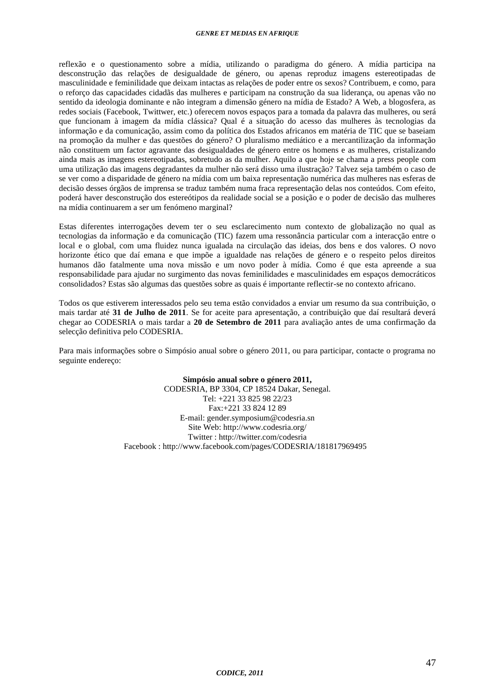#### *GENRE ET MEDIAS EN AFRIQUE*

reflexão e o questionamento sobre a mídia, utilizando o paradigma do género. A mídia participa na desconstrução das relações de desigualdade de género, ou apenas reproduz imagens estereotipadas de masculinidade e feminilidade que deixam intactas as relações de poder entre os sexos? Contribuem, e como, para o reforço das capacidades cidadãs das mulheres e participam na construção da sua liderança, ou apenas vão no sentido da ideologia dominante e não integram a dimensão género na mídia de Estado? A Web, a blogosfera, as redes sociais (Facebook, Twittwer, etc.) oferecem novos espaços para a tomada da palavra das mulheres, ou será que funcionam à imagem da mídia clássica? Qual é a situação do acesso das mulheres às tecnologias da informação e da comunicação, assim como da política dos Estados africanos em matéria de TIC que se baseiam na promoção da mulher e das questões do género? O pluralismo mediático e a mercantilização da informação não constituem um factor agravante das desigualdades de género entre os homens e as mulheres, cristalizando ainda mais as imagens estereotipadas, sobretudo as da mulher. Aquilo a que hoje se chama a press people com uma utilização das imagens degradantes da mulher não será disso uma ilustração? Talvez seja também o caso de se ver como a disparidade de género na mídia com um baixa representação numérica das mulheres nas esferas de decisão desses órgãos de imprensa se traduz também numa fraca representação delas nos conteúdos. Com efeito, poderá haver desconstrução dos estereótipos da realidade social se a posição e o poder de decisão das mulheres na mídia continuarem a ser um fenómeno marginal?

Estas diferentes interrogações devem ter o seu esclarecimento num contexto de globalização no qual as tecnologias da informação e da comunicação (TIC) fazem uma ressonância particular com a interacção entre o local e o global, com uma fluidez nunca igualada na circulação das ideias, dos bens e dos valores. O novo horizonte ético que daí emana e que impõe a igualdade nas relações de género e o respeito pelos direitos humanos dão fatalmente uma nova missão e um novo poder à mídia. Como é que esta apreende a sua responsabilidade para ajudar no surgimento das novas feminilidades e masculinidades em espaços democráticos consolidados? Estas são algumas das questões sobre as quais é importante reflectir-se no contexto africano.

Todos os que estiverem interessados pelo seu tema estão convidados a enviar um resumo da sua contribuição, o mais tardar até **31 de Julho de 2011**. Se for aceite para apresentação, a contribuição que daí resultará deverá chegar ao CODESRIA o mais tardar a **20 de Setembro de 2011** para avaliação antes de uma confirmação da selecção definitiva pelo CODESRIA.

Para mais informações sobre o Simpósio anual sobre o género 2011, ou para participar, contacte o programa no seguinte endereço:

> **Simpósio anual sobre o género 2011,** CODESRIA, BP 3304, CP 18524 Dakar, Senegal. Tel: +221 33 825 98 22/23 Fax:+221 33 824 12 89 E-mail: gender.symposium@codesria.sn Site Web: http://www.codesria.org/ Twitter :<http://twitter.com/codesria> Facebook [: http://www.facebook.com/pages/CODESRIA/181817969495](http://www.facebook.com/pages/CODESRIA/181817969495%20 )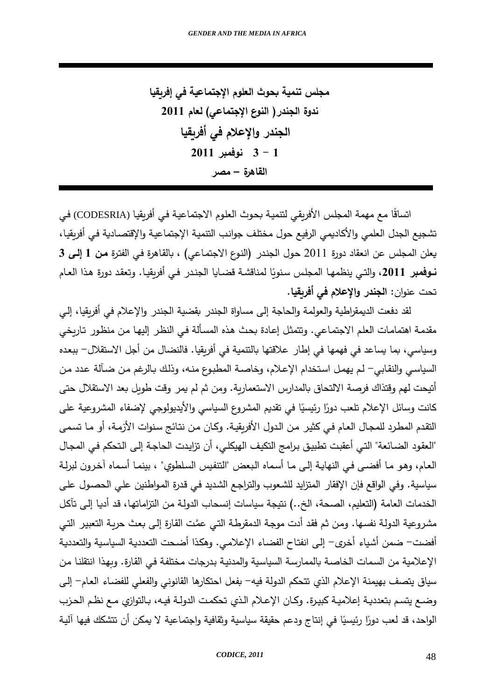**مجلس تنمية بحوث العلوم اإلجتماعية في إفريقيا ندوة الجندر) النوع اإلجتماعي( لعام 2011 الجندر واإلعالم في أفريقيا 1 - 3 نوفمبر 2011 القاهرة – مصر**

اتساقًا مع مهمة المجلس الأفريقي لتتمية بحوث العلوم الاجتماعية في أفريقيا (CODESRIA) في تشجيع الجدل العلمي والأكاديمي الرفيع حول مختلف جوانب التنمية الإجتماعية والإقتصادية في أفريقيا، يعلن المجلس عن انعقاد دورة 2011 حول الجندر (النوع الاجتماعي) ، بالقاهرة في الفترة **من 1** إلى 3 **ـْـوفمبر <b>2011**، والتي ينظمها المجلس سنويًا لمناقشة قضـايا الجندر في أفريقيـا. وتعقد دورة هذا العـام ت ت ييلان: **الجندر واإلعالم في أفريقيا.**

لقد دفعت الديمقراطية والعولمة والحاجة إلى مساواة الجندر بقضية الجندر والإعلام في أفريقيا، إلى مقدمـة اهتمامـات العلم الاجتمـاعي. وتتمثل إعـادة بحث هذه المسألة فـي النظر إليهـا من منظـور تـاربخي وسياسي، بما يساعد في فهمها في إطار علاقتها بالتنمية في أفريقيا. فالنضال من أجل الاستقلال– ببعده السياسي والنقابي– لم يهمل استخدام الإعلام، وخاصة المطبوع منه، وذلك بالرغم من ضألة عدد من أتيحت لهم وقتذاك فرصة الالتحاق بالمدارس الاستعمارية. ومن ثم لم يمر وقت طويل بعد الاستقلال حتى كانت وسائل الإعلام تلعب دورًا رئيسيًا في تقديم المشروع السياسي والأيديولوجي لإضفاء المشروعية على التقدم المطرد للمجال العام في كثير من الدول الأفريقية. وكان من نتائج سنوات الأزمـة، أو مـا تسمى "العقود الضبائعة" التي أعقبت تطبيق برامج التكيف الهيكلي، أن تزايدت الحاجة إلى التحكم في المجال العام، وهو ما أفضى في النهاية إلى ما أسماه البعض "التنفيس السلطوي" ، بينما أسماه آخرون لبرلـة سياسية. وفي الواقع فإن الإفقار المتزايد للشعوب والتراجع الشديد في قدرة المواطنين على الحصول على الخدمات العامة (التعليم، الصحة، الخ..) نتيجة سياسات إنسحاب الدولـة من التزاماتهـا، قد أديا إلـى تآكل مشر وعية الدولية نفسها. ومن ثم فقد أدت موجة الدمقرطة التي عمَّت القارة إلى بعث حربية التعبير التي أفضت– ضمن أشياء أخرى– إلى انفتاح الفضاء الإعلامي. وهكذا أضحت التعددية السياسية والتعددية الإعلامية من السمات الخاصـة بالممارسة السياسية والمدنيـة بدرجات مختلفة في القارة. وبهذا انتقلنا من سياق يتصف بهيمنة الإعلام الذي تتحكم الدولة فيه– بفعل احتكارها القانوني والفعلي للفضباء العام– إلى وضع يتسم بتعدديـة إعلاميـة كبيرة. وكـان الإعـلام الـذي تحكمت الدولـة فيـه، بـالتوازي مـع نظـم الحـزب الواحد، قد لعب دورًا رئيسيًا في إنتاج ودعم حقيقة سياسية وثقافية واجتماعية لا يمكن أن تتشكك فيها ألية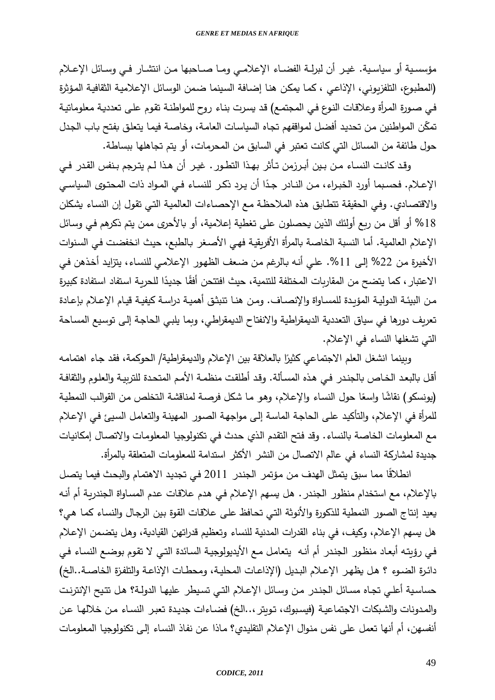مؤسسية أو سياسية. غير أن لبرلــة الفضــاء الإعلامــي ومــا صــاحبها مـن انتشــار فــي وســائل الإعــلام (المطبوع، التلفزبوني، الإذاعي ، كما يمكن هنا إضافة السينما ضمن الوسائل الإعلامية الثقافية المؤثرة في صورة المرأة وعلاقات النوع في المجتمع) قد يسرت بناء روح للمواطنة تقوم على تعددية معلوماتية تمكّن المواطنين من تحديد أفضل لمواقفهم تجاه السياسات العامة، وخاصـة فيمـا يتعلق بفتح بـاب الجدل حول طائفة من المسائل التي كانت تعتبر في السابق من المحرمات، أو يتم تجاهلها ببساطة.

وقد كانت النساء من بين أبرزمن تأثر بهذا التطور . غير أن هذا لم يترجم بنفس القدر في الإعـلام. فحسـبمـا أورد الخبـراء، مـن النــادر جدًا أن يـرد ذكـر للنسـاء فـي المـواد ذات المحتـوى السياسـي والاقتصادي. وفي الحقيقة تتطابق هذه الملاحظة مع الإحصاءات العالمية التي تقول إن النساء يشكلن 18% أو أقل من ربع أولئك الذين يحصلون على تغطية إعلامية، أو بالأحرى ممن يتم ذكرهم في وسائل الإعلام العالمية. أما النسبة الخاصة بالمرأة الأفريقية فهي الأصغر بالطبع، حيث انخفضت في السنوات الأخيرة من 22% إلى 11%. على أنه بالرغم من ضعف الظهور الإعلامي للنساء، يتزايد أخذهن في الاعتبار ، كما يتضح من المقاربات المختلفة للتنمية، حيث افتتحن أفقًا جديدًا للحرية استفاد استفادة كبيرة من البيئة الدولية المؤبدة للمساواة والإنصـاف. ومن هنـا تنبثق أهميـة دراسـة كيفيـة قيـام الإعـلام بإعـادة تعريف دورها في سياق التعددية الديمقراطية والانفتاح الديمقراطي، وبما يلبي الحاجة إلى توسيع المساحة التي تشغلها النساء في الإعلام.

وبينما انشغل العلم الاجتماعي كثيرًا بالعلاقة بين الإعلام والديمقراطية/ الحوكمة، فقد جاء اهتمامه أقل بالبعد الخاص بالجندر في هذه المسألة. وقد أطلقت منظمة الأمم المتحدة للتربية والعلوم والثقافة (يونسكو) نقاشًا واسعًا حول النساء والإعلام، وهو ما شكل فرصـة لمناقشـة التخلص من القوالب النمطيـة للمرأة في الإعلام، والتأكيد على الحاجة الماسة إلى مواجهة الصور المهينة والتعامل السيئ في الإعلام مع المعلومات الخاصة بالنساء. وقد فتح التقدم الذي حدث في تكنولوجيا المعلومات والاتصال إمكانيات جديدة لمشاركة النساء في عالم الاتصال من النشر الأكثر استدامة للمعلومات المتعلقة بالمرأة.

انطلاقًا مما سبق يتمثل الهدف من مؤتمر الجندر 2011 في تجديد الاهتمام والبحث فيما يتصل بالإعلام، مع استخدام منظور الجندر . هل يسهم الإعلام في هدم علاقات عدم المساواة الجندرية أم أنه يعيد إنتاج الصور النمطية للذكورة والأنوثة التي تحافظ على علاقات القوة بين الرجال والنساء كما هي؟ هل يسهم الإعلام، وكيف، في بناء القدرات المدنية للنساء وتعظيم قدراتهن القيادية، وهل يتضمن الإعلام في رؤيته أبعاد منظور الجندر أم أنه يتعامل مع الأيديولوجية السائدة التي لا تقوم بوضع النساء في دائرة الضبوء ؟ هل يظهر الإعلام البديل (الإذاعات المحلية، ومحطات الإذاعة والتلفزة الخاصية..الخ) حساسية أعلي تجاه مسائل الجندر من وسائل الإعلام التي تسيطر عليها الدولة؟ هل تتيح الإنترنت والمدونات والشبكات الاجتماعية (فيسبوك، توبتر ،..الخ) فضـاءات جديدة تعبر النسـاء من خلالهـا عن أنفسهن، أم أنها تعمل على نفس منوال الإعلام التقليدي؟ ماذا عن نفاذ النساء إلى تكنولوجيا المعلومات